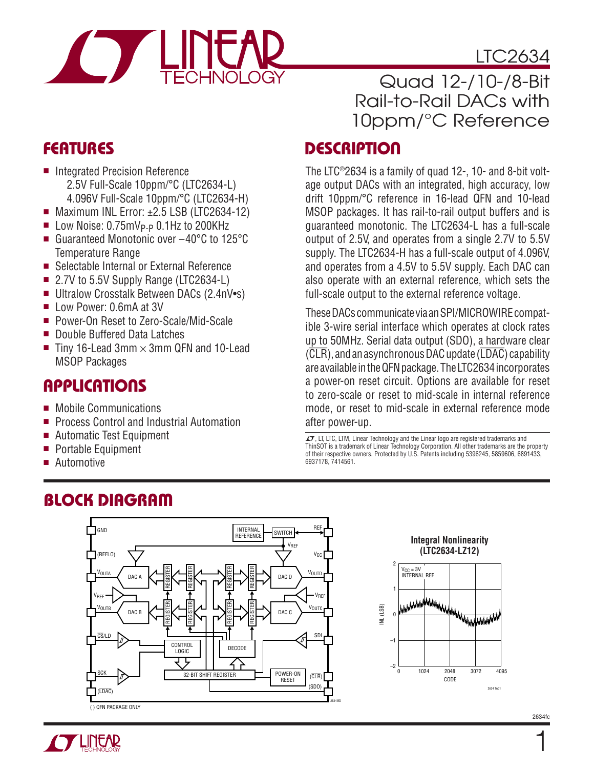

## LTC2634

Quad 12-/10-/8-Bit Rail-to-Rail DACs with 10ppm/°C Reference

#### **DESCRIPTION**

The LTC®2634 is a family of quad 12-, 10- and 8-bit voltage output DACs with an integrated, high accuracy, low drift 10ppm/°C reference in 16-lead QFN and 10-lead MSOP packages. It has rail-to-rail output buffers and is guaranteed monotonic. The LTC2634-L has a full-scale output of 2.5V, and operates from a single 2.7V to 5.5V supply. The LTC2634-H has a full-scale output of 4.096V, and operates from a 4.5V to 5.5V supply. Each DAC can also operate with an external reference, which sets the full-scale output to the external reference voltage.

These DACs communicate via an SPI/MICROWIRE compatible 3-wire serial interface which operates at clock rates up to 50MHz. Serial data output (SDO), a hardware clear  $(\overline{CLR})$ , and an asynchronous DAC update  $(\overline{LDAC})$  capability are available in the QFN package. The LTC2634 incorporates a power-on reset circuit. Options are available for reset to zero-scale or reset to mid-scale in internal reference mode, or reset to mid-scale in external reference mode after power-up.

 $I$ , LT, LTC, LTM, Linear Technology and the Linear logo are registered trademarks and ThinSOT is a trademark of Linear Technology Corporation. All other trademarks are the property of their respective owners. Protected by U.S. Patents including 5396245, 5859606, 6891433, 6937178, 7414561.

## **FEATURES**

- Integrated Precision Reference 2.5V Full-Scale 10ppm/°C (LTC2634-L) 4.096V Full-Scale 10ppm/°C (LTC2634-H)
- $\blacksquare$  Maximum INL Error:  $\pm 2.5$  LSB (LTC2634-12)
- $\blacksquare$  Low Noise: 0.75mV<sub>P-P</sub> 0.1Hz to 200KHz
- Guaranteed Monotonic over -40°C to 125°C Temperature Range
- Selectable Internal or External Reference
- $\blacksquare$  2.7V to 5.5V Supply Range (LTC2634-L)
- Ultralow Crosstalk Between DACs (2.4nV•s)
- Low Power: 0.6mA at 3V
- Power-On Reset to Zero-Scale/Mid-Scale
- Double Buffered Data Latches
- Tiny 16-Lead 3mm  $\times$  3mm QFN and 10-Lead MSOP Packages

## **APPLICATIONS**

- Mobile Communications
- **Process Control and Industrial Automation**
- Automatic Test Equipment
- Portable Equipment
- Automotive

# Block Diagram







 $\mathbf{1}$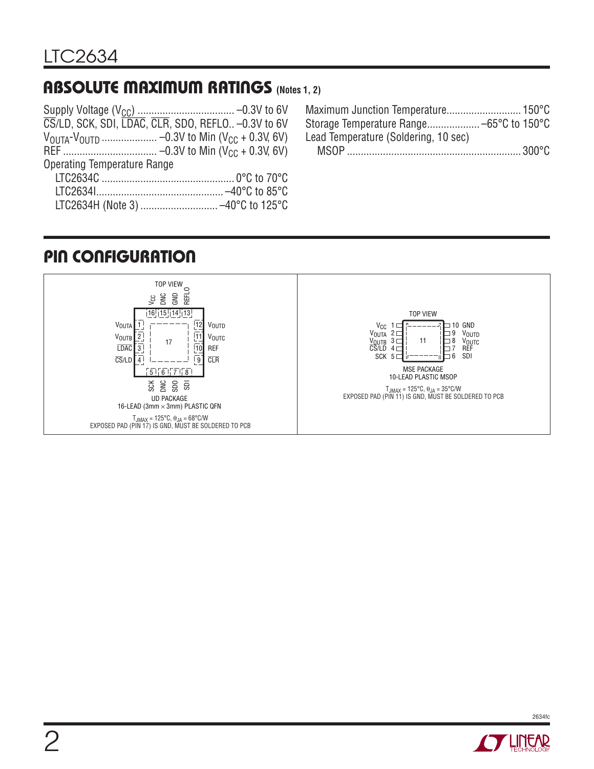#### Absolute Maximum Ratings **(Notes 1, 2)**

| CS/LD, SCK, SDI, LDAC, CLR, SDO, REFLO - 0.3V to 6V |  |
|-----------------------------------------------------|--|
|                                                     |  |
|                                                     |  |
| <b>Operating Temperature Range</b>                  |  |
|                                                     |  |
|                                                     |  |
|                                                     |  |
|                                                     |  |

| Lead Temperature (Soldering, 10 sec) |  |
|--------------------------------------|--|
|                                      |  |

## Pin Configuration



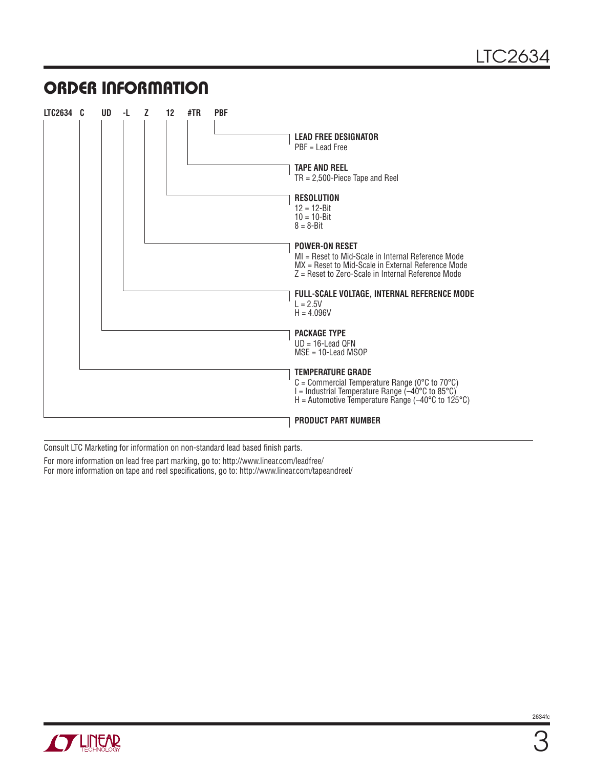#### ORDER INFORMATION

| LTC2634 C | UD. | -L. | z | 12 | #TR | <b>PBF</b> |                                                                                                            |
|-----------|-----|-----|---|----|-----|------------|------------------------------------------------------------------------------------------------------------|
|           |     |     |   |    |     |            |                                                                                                            |
|           |     |     |   |    |     |            | <b>LEAD FREE DESIGNATOR</b>                                                                                |
|           |     |     |   |    |     |            | $PBF =$ Lead Free                                                                                          |
|           |     |     |   |    |     |            | <b>TAPE AND REEL</b>                                                                                       |
|           |     |     |   |    |     |            | $TR = 2,500$ -Piece Tape and Reel                                                                          |
|           |     |     |   |    |     |            |                                                                                                            |
|           |     |     |   |    |     |            | <b>RESOLUTION</b>                                                                                          |
|           |     |     |   |    |     |            | $12 = 12 - Bit$<br>$10 = 10 - Bit$                                                                         |
|           |     |     |   |    |     |            | $8 = 8 - Bit$                                                                                              |
|           |     |     |   |    |     |            |                                                                                                            |
|           |     |     |   |    |     |            | <b>POWER-ON RESET</b>                                                                                      |
|           |     |     |   |    |     |            | MI = Reset to Mid-Scale in Internal Reference Mode                                                         |
|           |     |     |   |    |     |            | MX = Reset to Mid-Scale in External Reference Mode<br>$Z =$ Reset to Zero-Scale in Internal Reference Mode |
|           |     |     |   |    |     |            |                                                                                                            |
|           |     |     |   |    |     |            | FULL-SCALE VOLTAGE, INTERNAL REFERENCE MODE                                                                |
|           |     |     |   |    |     |            | $L = 2.5V$                                                                                                 |
|           |     |     |   |    |     |            | $H = 4.096V$                                                                                               |
|           |     |     |   |    |     |            | <b>PACKAGE TYPE</b>                                                                                        |
|           |     |     |   |    |     |            | $UD = 16$ -Lead QFN                                                                                        |
|           |     |     |   |    |     |            | $MSE = 10$ -Lead MSOP                                                                                      |
|           |     |     |   |    |     |            | <b>TEMPERATURE GRADE</b>                                                                                   |
|           |     |     |   |    |     |            | $C =$ Commercial Temperature Range (0°C to 70°C)                                                           |
|           |     |     |   |    |     |            | l = Industrial Temperature Range (–40°C to 85°C)                                                           |
|           |     |     |   |    |     |            | H = Automotive Temperature Range ( $-40^{\circ}$ C to 125 $^{\circ}$ C)                                    |
|           |     |     |   |    |     |            | <b>PRODUCT PART NUMBER</b>                                                                                 |
|           |     |     |   |    |     |            |                                                                                                            |

Consult LTC Marketing for information on non-standard lead based finish parts.

For more information on lead free part marking, go to: http://www.linear.com/leadfree/

For more information on tape and reel [specifications](https://www.application-datasheet.com/), go to: http://www.linear.com/tapeandreel/

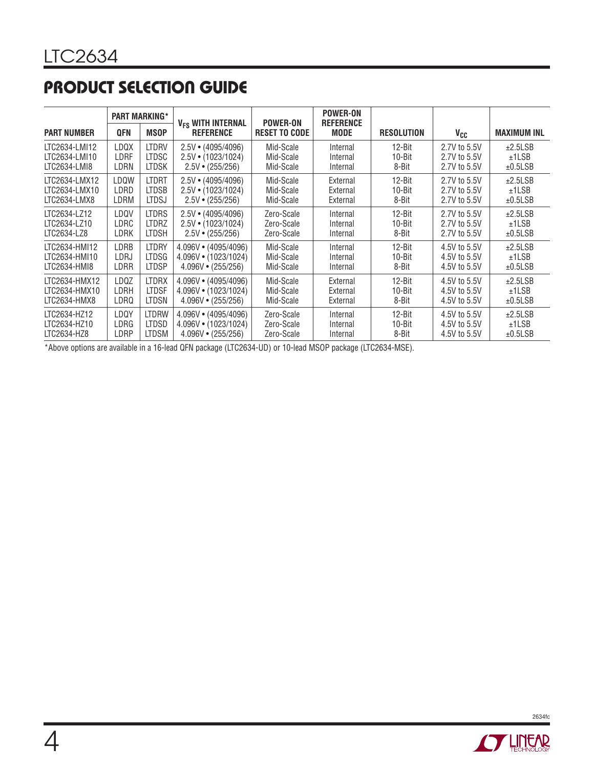## Product Selection Guide

|                    |            | <b>PART MARKING*</b> | V <sub>FS</sub> WITH INTERNAL | <b>POWER-ON</b>      | <b>POWER-ON</b><br><b>REFERENCE</b> |                   |                 |                    |
|--------------------|------------|----------------------|-------------------------------|----------------------|-------------------------------------|-------------------|-----------------|--------------------|
| <b>PART NUMBER</b> | <b>QFN</b> | <b>MSOP</b>          | <b>REFERENCE</b>              | <b>RESET TO CODE</b> | <b>MODE</b>                         | <b>RESOLUTION</b> | V <sub>CC</sub> | <b>MAXIMUM INL</b> |
| LTC2634-LMI12      | LDQX       | LTDRV                | $2.5V \cdot (4095/4096)$      | Mid-Scale            | Internal                            | $12 - Bit$        | 2.7V to 5.5V    | ±2.5LSB            |
| LTC2634-LMI10      | LDRF       | <b>LTDSC</b>         | $2.5V \cdot (1023/1024)$      | Mid-Scale            | Internal                            | 10-Bit            | 2.7V to 5.5V    | ±1LSB              |
| LTC2634-LMI8       | LDRN       | <b>LTDSK</b>         | $2.5V \cdot (255/256)$        | Mid-Scale            | Internal                            | 8-Bit             | 2.7V to 5.5V    | ±0.5LSB            |
| LTC2634-LMX12      | LDQW       | <b>LTDRT</b>         | $2.5V \cdot (4095/4096)$      | Mid-Scale            | External                            | $12-Bit$          | 2.7V to 5.5V    | ±2.5LSB            |
| LTC2634-LMX10      | LDRD       | <b>LTDSB</b>         | $2.5V \cdot (1023/1024)$      | Mid-Scale            | External                            | $10 - Bit$        | 2.7V to 5.5V    | ±1LSB              |
| LTC2634-LMX8       | LDRM       | <b>LTDSJ</b>         | $2.5V \cdot (255/256)$        | Mid-Scale            | External                            | 8-Bit             | 2.7V to 5.5V    | ±0.5LSB            |
| LTC2634-LZ12       | LDQV       | <b>LTDRS</b>         | $2.5V \cdot (4095/4096)$      | Zero-Scale           | Internal                            | $12-Bit$          | 2.7V to 5.5V    | ±2.5LSB            |
| LTC2634-LZ10       | LDRC       | <b>LTDRZ</b>         | $2.5V \cdot (1023/1024)$      | Zero-Scale           | Internal                            | 10-Bit            | 2.7V to 5.5V    | ±1LSB              |
| LTC2634-LZ8        | LDRK       | <b>LTDSH</b>         | $2.5V \cdot (255/256)$        | Zero-Scale           | Internal                            | 8-Bit             | 2.7V to 5.5V    | ±0.5LSB            |
| LTC2634-HMI12      | LDRB       | <b>LTDRY</b>         | 4.096V · (4095/4096)          | Mid-Scale            | Internal                            | $12-Bit$          | 4.5V to 5.5V    | ±2.5LSB            |
| LTC2634-HMI10      | LDRJ       | <b>LTDSG</b>         | $4.096V \cdot (1023/1024)$    | Mid-Scale            | Internal                            | $10 - Bit$        | 4.5V to 5.5V    | ±1LSB              |
| LTC2634-HMI8       | LDRR       | <b>LTDSP</b>         | $4.096V \cdot (255/256)$      | Mid-Scale            | Internal                            | 8-Bit             | 4.5V to 5.5V    | ±0.5LSB            |
| LTC2634-HMX12      | LDQZ       | <b>LTDRX</b>         | 4.096V • (4095/4096)          | Mid-Scale            | External                            | $12 - Bit$        | 4.5V to 5.5V    | ±2.5LSB            |
| LTC2634-HMX10      | LDRH       | <b>LTDSF</b>         | $4.096V \cdot (1023/1024)$    | Mid-Scale            | External                            | 10-Bit            | 4.5V to 5.5V    | ±1LSB              |
| LTC2634-HMX8       | LDRQ       | <b>LTDSN</b>         | $4.096V \cdot (255/256)$      | Mid-Scale            | External                            | 8-Bit             | 4.5V to 5.5V    | ±0.5LSB            |
| LTC2634-HZ12       | LDQY       | <b>LTDRW</b>         | 4.096V · (4095/4096)          | Zero-Scale           | Internal                            | $12-Bit$          | 4.5V to 5.5V    | ±2.5LSB            |
| LTC2634-HZ10       | LDRG       | <b>LTDSD</b>         | $4.096V \cdot (1023/1024)$    | Zero-Scale           | Internal                            | $10 - Bit$        | 4.5V to 5.5V    | ±1LSB              |
| LTC2634-HZ8        | LDRP       | <b>LTDSM</b>         | $4.096V \cdot (255/256)$      | Zero-Scale           | Internal                            | 8-Bit             | 4.5V to 5.5V    | ±0.5LSB            |

\*Above options are available in a 16-lead QFN package (LTC2634-UD) or 10-lead MSOP package (LTC2634-MSE).

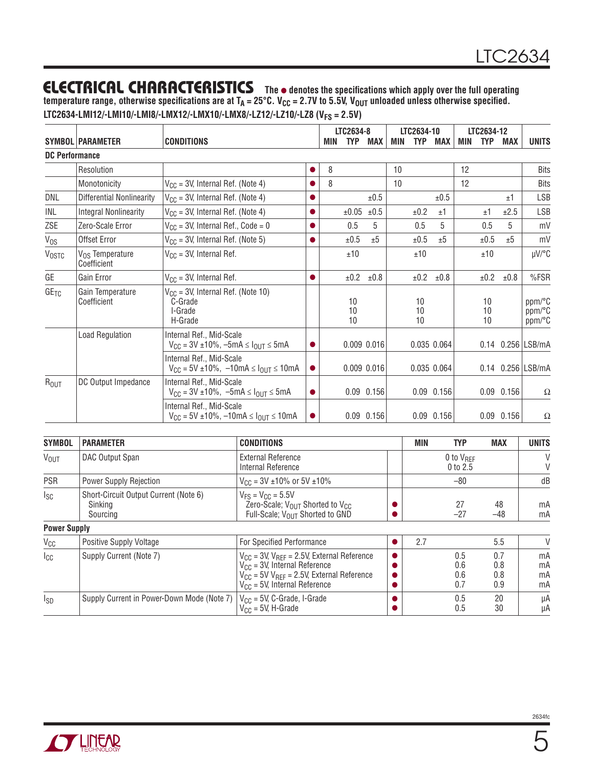temperature range, otherwise [specifications](https://www.application-datasheet.com/) are at T<sub>A</sub> = 25°C. V<sub>CC</sub> = 2.7V to 5.5V, V<sub>OUT</sub> unloaded unless otherwise specified. **LTC2634-LMI12/-LMI10/-LMI8/-LMX12/-LMX10/-LMX8/-LZ12/-LZ10/-LZ8 (VFS = 2.5V)**

|                       |                                            |                                                                                    |           |     | LTC2634-8      |                |     | LTC2634-10     |                | LTC2634-12 |                |                |                            |
|-----------------------|--------------------------------------------|------------------------------------------------------------------------------------|-----------|-----|----------------|----------------|-----|----------------|----------------|------------|----------------|----------------|----------------------------|
|                       | <b>SYMBOL PARAMETER</b>                    | <b>CONDITIONS</b>                                                                  |           | MIN | TYP            | <b>MAX</b>     | MIN | <b>TYP</b>     | MAX            | MIN        | <b>TYP</b>     | <b>MAX</b>     | <b>UNITS</b>               |
| <b>DC Performance</b> |                                            |                                                                                    |           |     |                |                |     |                |                |            |                |                |                            |
|                       | Resolution                                 |                                                                                    | ●         | 8   |                |                | 10  |                |                | 12         |                |                | <b>Bits</b>                |
|                       | Monotonicity                               | $V_{CC}$ = 3V, Internal Ref. (Note 4)                                              |           | 8   |                |                | 10  |                |                | 12         |                |                | <b>Bits</b>                |
| DNL                   | <b>Differential Nonlinearity</b>           | $V_{CC}$ = 3V, Internal Ref. (Note 4)                                              | $\bullet$ |     |                | ±0.5           |     |                | ±0.5           |            |                | ±1             | <b>LSB</b>                 |
| INL                   | <b>Integral Nonlinearity</b>               | $V_{CC}$ = 3V, Internal Ref. (Note 4)                                              | $\bullet$ |     | ±0.05          | $\pm 0.5$      |     | ±0.2           | ±1             |            | ±1             | ±2.5           | <b>LSB</b>                 |
| ZSE                   | Zero-Scale Error                           | $V_{CC}$ = 3V, Internal Ref., Code = 0                                             | $\bullet$ |     | 0.5            | 5              |     | 0.5            | 5              |            | 0.5            | 5              | mV                         |
| $V_{OS}$              | <b>Offset Error</b>                        | $V_{CC}$ = 3V, Internal Ref. (Note 5)                                              | $\bullet$ |     | ±0.5           | ±5             |     | ±0.5           | ±5             |            | ±0.5           | ±5             | mV                         |
| <b>VOSTC</b>          | V <sub>OS</sub> Temperature<br>Coefficient | $V_{CC}$ = 3V, Internal Ref.                                                       |           |     | ±10            |                |     | ±10            |                |            | ±10            |                | $\mu$ V/°C                 |
| GE                    | Gain Error                                 | $V_{CC}$ = 3V, Internal Ref.                                                       |           |     | ±0.2           | ±0.8           |     | ±0.2           | ±0.8           |            | ±0.2           | ±0.8           | %FSR                       |
| $GE_{TC}$             | Gain Temperature<br>Coefficient            | $V_{CC}$ = 3V, Internal Ref. (Note 10)<br>C-Grade<br>I-Grade<br>H-Grade            |           |     | 10<br>10<br>10 |                |     | 10<br>10<br>10 |                |            | 10<br>10<br>10 |                | ppm/°C<br>ppm/°C<br>ppm/°C |
|                       | <b>Load Regulation</b>                     | Internal Ref., Mid-Scale<br>$V_{CC}$ = 3V ±10%, -5mA $\leq$ $I_{OUT}$ $\leq$ 5mA   | 0         |     |                | 0.009 0.016    |     |                | 0.035 0.064    |            |                |                | 0.14 0.256   LSB/mA        |
|                       |                                            | Internal Ref., Mid-Scale<br>$V_{CC}$ = 5V ±10%, -10mA $\leq$ $I_{OUT}$ $\leq$ 10mA | $\bullet$ |     |                | 0.009 0.016    |     |                | 0.035 0.064    |            |                |                | 0.14 0.256 LSB/mA          |
| R <sub>OUT</sub>      | DC Output Impedance                        | Internal Ref., Mid-Scale<br>$V_{CC} = 3V \pm 10\%$ , $-5mA \leq I_{OUT} \leq 5mA$  | $\bullet$ |     |                | $0.09$ $0.156$ |     |                | $0.09$ $0.156$ |            |                | $0.09$ $0.156$ | Ω                          |
|                       |                                            | Internal Ref., Mid-Scale<br>$V_{CC}$ = 5V ±10%, -10mA $\leq$ $I_{OUT}$ $\leq$ 10mA |           |     |                | $0.09$ $0.156$ |     |                | $0.09$ $0.156$ |            |                | $0.09$ $0.156$ | Ω                          |

| <b>SYMBOL</b>       | <b>PARAMETER</b>                                             | <b>CONDITIONS</b>                                                                                                                                                                   | MIN | <b>TYP</b>                   | <b>MAX</b>               | <b>UNITS</b>         |
|---------------------|--------------------------------------------------------------|-------------------------------------------------------------------------------------------------------------------------------------------------------------------------------------|-----|------------------------------|--------------------------|----------------------|
| <b>VOUT</b>         | DAC Output Span                                              | <b>External Reference</b><br>Internal Reference                                                                                                                                     |     | $0$ to $V_{BFF}$<br>0 to 2.5 |                          | V<br>V               |
| <b>PSR</b>          | <b>Power Supply Rejection</b>                                | $V_{CC}$ = 3V ±10% or 5V ±10%                                                                                                                                                       |     | $-80$                        |                          | dB                   |
| <sub>sc</sub>       | Short-Circuit Output Current (Note 6)<br>Sinking<br>Sourcing | $V_{FS} = V_{CC} = 5.5V$<br>Zero-Scale; $V_{OUT}$ Shorted to $V_{CC}$<br>Full-Scale; V <sub>OUT</sub> Shorted to GND                                                                |     | 27<br>$-27$                  | 48<br>$-48$              | mA<br>mA             |
| <b>Power Supply</b> |                                                              |                                                                                                                                                                                     |     |                              |                          |                      |
| $V_{\rm CC}$        | <b>Positive Supply Voltage</b>                               | For Specified Performance                                                                                                                                                           | 2.7 |                              | 5.5                      | $\vee$               |
| Icc                 | Supply Current (Note 7)                                      | $V_{CC}$ = 3V, $V_{REF}$ = 2.5V, External Reference<br>$V_{CC}$ = 3V, Internal Reference<br>$V_{CC}$ = 5V $V_{RFF}$ = 2.5V, External Reference<br>$V_{CC}$ = 5V, Internal Reference |     | 0.5<br>0.6<br>0.6<br>0.7     | 0.7<br>0.8<br>0.8<br>0.9 | mA<br>mA<br>mA<br>mA |
| Isp                 | Supply Current in Power-Down Mode (Note 7)                   | $V_{CC}$ = 5V, C-Grade, I-Grade<br>$V_{CC}$ = 5V, H-Grade                                                                                                                           |     | 0.5<br>0.5                   | 20<br>30                 | μA<br>μA             |

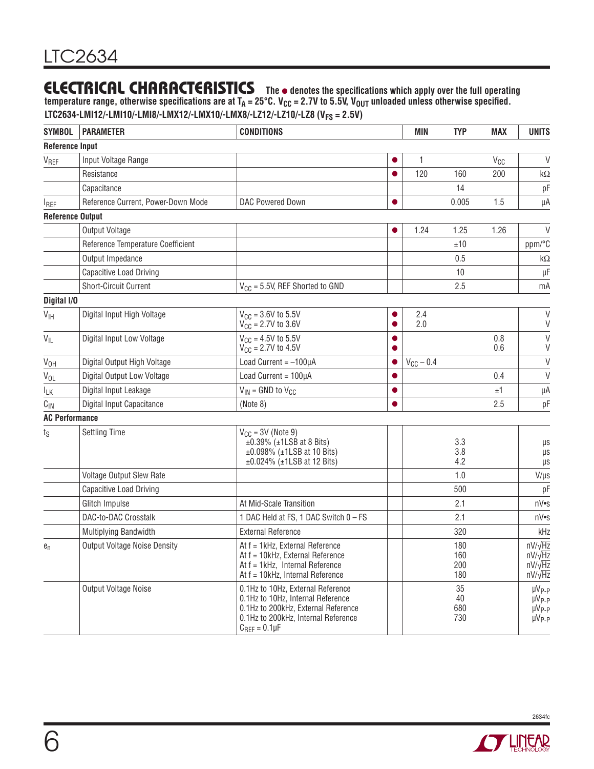temperature range, otherwise [specifications](https://www.application-datasheet.com/) are at T<sub>A</sub> = 25°C. V<sub>CC</sub> = 2.7V to 5.5V, V<sub>OUT</sub> unloaded unless otherwise specified. **LTC2634-LMI12/-LMI10/-LMI8/-LMX12/-LMX10/-LMX8/-LZ12/-LZ10/-LZ8 (VFS = 2.5V)**

| <b>SYMBOL</b>           | <b>PARAMETER</b>                    | <b>CONDITIONS</b>                                                                                                                                                             |   | <b>MIN</b>     | <b>TYP</b>               | <b>MAX</b> | <b>UNITS</b>                                                         |
|-------------------------|-------------------------------------|-------------------------------------------------------------------------------------------------------------------------------------------------------------------------------|---|----------------|--------------------------|------------|----------------------------------------------------------------------|
| <b>Reference Input</b>  |                                     |                                                                                                                                                                               |   |                |                          |            |                                                                      |
| V <sub>REF</sub>        | Input Voltage Range                 |                                                                                                                                                                               |   | 1              |                          | $V_{CC}$   | V                                                                    |
|                         | Resistance                          |                                                                                                                                                                               |   | 120            | 160                      | 200        | $k\Omega$                                                            |
|                         | Capacitance                         |                                                                                                                                                                               |   |                | 14                       |            | pF                                                                   |
| <b>IREF</b>             | Reference Current, Power-Down Mode  | DAC Powered Down                                                                                                                                                              |   |                | 0.005                    | 1.5        | μA                                                                   |
| <b>Reference Output</b> |                                     |                                                                                                                                                                               |   |                |                          |            |                                                                      |
|                         | Output Voltage                      |                                                                                                                                                                               | 0 | 1.24           | 1.25                     | 1.26       | V                                                                    |
|                         | Reference Temperature Coefficient   |                                                                                                                                                                               |   |                | ±10                      |            | ppm/°C                                                               |
|                         | Output Impedance                    |                                                                                                                                                                               |   |                | 0.5                      |            | k $\Omega$                                                           |
|                         | Capacitive Load Driving             |                                                                                                                                                                               |   |                | 10                       |            | μF                                                                   |
|                         | <b>Short-Circuit Current</b>        | $V_{CC}$ = 5.5V, REF Shorted to GND                                                                                                                                           |   |                | 2.5                      |            | mA                                                                   |
| Digital I/O             |                                     |                                                                                                                                                                               |   |                |                          |            |                                                                      |
| V <sub>IH</sub>         | Digital Input High Voltage          | $V_{CC} = 3.6V$ to 5.5V<br>$V_{CC} = 2.7V$ to 3.6V                                                                                                                            |   | 2.4<br>2.0     |                          |            | V<br>V                                                               |
| $V_{IL}$                | Digital Input Low Voltage           | $V_{CC} = 4.5V$ to 5.5V<br>$V_{\rm CC}$ = 2.7V to 4.5V                                                                                                                        |   |                |                          | 0.8<br>0.6 | $\vee$<br>$\vee$                                                     |
| V <sub>OH</sub>         | Digital Output High Voltage         | Load Current = $-100\mu A$                                                                                                                                                    |   | $V_{CC}$ - 0.4 |                          |            | $\vee$                                                               |
| <b>V<sub>OL</sub></b>   | Digital Output Low Voltage          | Load Current = 100µA                                                                                                                                                          |   |                |                          | 0.4        | V                                                                    |
| <b>ILK</b>              | Digital Input Leakage               | $V_{IN}$ = GND to $V_{CC}$                                                                                                                                                    |   |                |                          | ±1         | μA                                                                   |
| $C_{\text{IN}}$         | Digital Input Capacitance           | (Note 8)                                                                                                                                                                      |   |                |                          | 2.5        | pF                                                                   |
| <b>AC Performance</b>   |                                     |                                                                                                                                                                               |   |                |                          |            |                                                                      |
| $t_{\rm S}$             | <b>Settling Time</b>                | $V_{CC}$ = 3V (Note 9)<br>$\pm 0.39\%$ ( $\pm 1$ LSB at 8 Bits)<br>$±0.098\%$ ( $±1LSB$ at 10 Bits)<br>$±0.024\%$ ( $±1LSB$ at 12 Bits)                                       |   |                | 3.3<br>3.8<br>4.2        |            | μs<br>$\mu s$<br>$\mu s$                                             |
|                         | Voltage Output Slew Rate            |                                                                                                                                                                               |   |                | 1.0                      |            | $V/\mu s$                                                            |
|                         | Capacitive Load Driving             |                                                                                                                                                                               |   |                | 500                      |            | pF                                                                   |
|                         | Glitch Impulse                      | At Mid-Scale Transition                                                                                                                                                       |   |                | 2.1                      |            | nV•s                                                                 |
|                         | DAC-to-DAC Crosstalk                | 1 DAC Held at FS, 1 DAC Switch 0 - FS                                                                                                                                         |   |                | 2.1                      |            | nV•s                                                                 |
|                         | Multiplying Bandwidth               | <b>External Reference</b>                                                                                                                                                     |   |                | 320                      |            | kHz                                                                  |
| $e_n$                   | <b>Output Voltage Noise Density</b> | At f = 1kHz, External Reference<br>At f = 10kHz, External Reference<br>At f = 1kHz, Internal Reference<br>At f = 10kHz, Internal Reference                                    |   |                | 180<br>160<br>200<br>180 |            | $nV/\sqrt{Hz}$<br>$nV/\sqrt{Hz}$<br>$nV/\sqrt{Hz}$<br>$nV/\sqrt{Hz}$ |
|                         | Output Voltage Noise                | 0.1Hz to 10Hz, External Reference<br>0.1Hz to 10Hz, Internal Reference<br>0.1Hz to 200kHz, External Reference<br>0.1Hz to 200kHz, Internal Reference<br>$C_{REF} = 0.1 \mu F$ |   |                | 35<br>40<br>680<br>730   |            | $\mu V_{P-P}$<br>$\mu V_{P-P}$<br>$\mu V_{P-P}$<br>$\mu V_{P-P}$     |



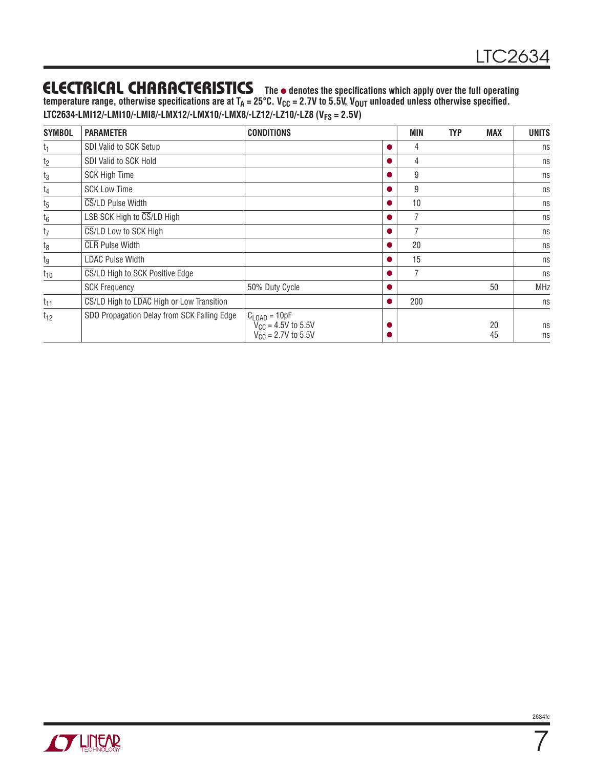temperature range, otherwise [specifications](https://www.application-datasheet.com/) are at T<sub>A</sub> = 25°C. V<sub>CC</sub> = 2.7V to 5.5V, V<sub>OUT</sub> unloaded unless otherwise specified. **LTC2634-LMI12/-LMI10/-LMI8/-LMX12/-LMX10/-LMX8/-LZ12/-LZ10/-LZ8 (VFS = 2.5V)**

| <b>SYMBOL</b>  | <b>PARAMETER</b>                            | <b>CONDITIONS</b>                                                                  | <b>MIN</b> | <b>TYP</b> | <b>MAX</b> | <b>UNITS</b> |
|----------------|---------------------------------------------|------------------------------------------------------------------------------------|------------|------------|------------|--------------|
| t <sub>1</sub> | SDI Valid to SCK Setup                      |                                                                                    | 4          |            |            | ns           |
| t <sub>2</sub> | SDI Valid to SCK Hold                       |                                                                                    | 4          |            |            | ns           |
| $t_3$          | <b>SCK High Time</b>                        |                                                                                    | 9          |            |            | ns           |
| t <sub>4</sub> | <b>SCK Low Time</b>                         |                                                                                    | 9          |            |            | ns           |
| $t_{5}$        | CS/LD Pulse Width                           |                                                                                    | 10         |            |            | ns           |
| $t_6$          | LSB SCK High to CS/LD High                  |                                                                                    |            |            |            | ns           |
| $t_7$          | CS/LD Low to SCK High                       |                                                                                    |            |            |            | ns           |
| $t_8$          | <b>CLR</b> Pulse Width                      |                                                                                    | 20         |            |            | ns           |
| tg             | LDAC Pulse Width                            |                                                                                    | 15         |            |            | ns           |
| $t_{10}$       | CS/LD High to SCK Positive Edge             |                                                                                    |            |            |            | ns           |
|                | <b>SCK Frequency</b>                        | 50% Duty Cycle                                                                     |            |            | 50         | <b>MHz</b>   |
| $t_{11}$       | CS/LD High to LDAC High or Low Transition   |                                                                                    | 200        |            |            | ns           |
| $t_{12}$       | SDO Propagation Delay from SCK Falling Edge | $C_{\text{LOAD}} = 10pF$<br>$V_{CG} = 4.5V$ to 5.5V<br>$V_{\rm CC} = 2.7V$ to 5.5V |            |            | 20<br>45   | ns<br>ns     |



 $\overline{7}$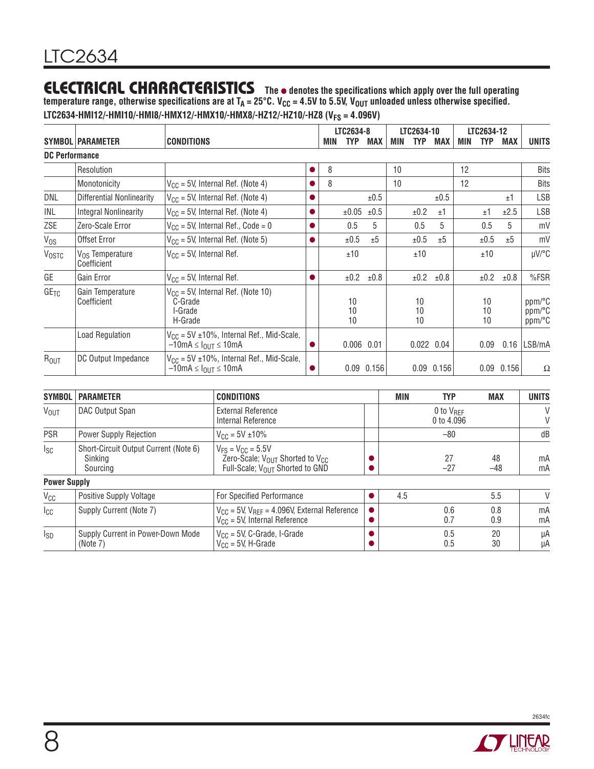temperature range, otherwise [specifications](https://www.application-datasheet.com/) are at T<sub>A</sub> = 25°C. V<sub>CC</sub> = 4.5V to 5.5V, V<sub>OUT</sub> unloaded unless otherwise specified. **LTC2634-HMI12/-HMI10/-HMI8/-HMX12/-HMX10/-HMX8/-HZ12/-HZ10/-HZ8 (VFS = 4.096V)**

|                       |                                     |                                                                                                   |           |     | LTC2634-8      |                |     | LTC2634-10     |                |     | LTC2634-12     |                |                            |
|-----------------------|-------------------------------------|---------------------------------------------------------------------------------------------------|-----------|-----|----------------|----------------|-----|----------------|----------------|-----|----------------|----------------|----------------------------|
|                       | <b>SYMBOL PARAMETER</b>             | <b>CONDITIONS</b>                                                                                 |           | MIN | TYP            | <b>MAX</b>     | MIN | <b>TYP</b>     | MAX            | MIN | <b>TYP</b>     | <b>MAX</b>     | <b>UNITS</b>               |
| <b>DC Performance</b> |                                     |                                                                                                   |           |     |                |                |     |                |                |     |                |                |                            |
|                       | Resolution                          |                                                                                                   |           | 8   |                |                | 10  |                |                | 12  |                |                | <b>Bits</b>                |
|                       | Monotonicity                        | $V_{CC}$ = 5V, Internal Ref. (Note 4)                                                             |           | 8   |                |                | 10  |                |                | 12  |                |                | <b>Bits</b>                |
| DNL                   | <b>Differential Nonlinearity</b>    | $V_{CC}$ = 5V, Internal Ref. (Note 4)                                                             |           |     |                | ±0.5           |     |                | ±0.5           |     |                | ±1             | LSB                        |
| INL                   | <b>Integral Nonlinearity</b>        | $V_{CC}$ = 5V, Internal Ref. (Note 4)                                                             | 0         |     | ±0.05          | ±0.5           |     | ±0.2           | ±1             |     | ±1             | ±2.5           | <b>LSB</b>                 |
| ZSE                   | Zero-Scale Error                    | $V_{CC}$ = 5V, Internal Ref., Code = 0                                                            | $\bullet$ |     | 0.5            | 5              |     | 0.5            | 5              |     | 0.5            | 5              | mV                         |
| $V_{OS}$              | Offset Error                        | $V_{CC}$ = 5V, Internal Ref. (Note 5)                                                             |           |     | ±0.5           | ±5             |     | ±0.5           | ±5             |     | ±0.5           | ±5             | mV                         |
| <b>VOSTC</b>          | $V_{OS}$ Temperature<br>Coefficient | $V_{CC}$ = 5V, Internal Ref.                                                                      |           |     | ±10            |                |     | ±10            |                |     | ±10            |                | µV/°C                      |
| GE                    | Gain Error                          | $V_{CC}$ = 5V, Internal Ref.                                                                      |           |     | ±0.2           | ±0.8           |     | ±0.2           | ±0.8           |     | ±0.2           | ±0.8           | %FSR                       |
| GE <sub>TC</sub>      | Gain Temperature<br>Coefficient     | $V_{CC}$ = 5V, Internal Ref. (Note 10)<br>C-Grade<br>I-Grade<br>H-Grade                           |           |     | 10<br>10<br>10 |                |     | 10<br>10<br>10 |                |     | 10<br>10<br>10 |                | ppm/°C<br>ppm/°C<br>ppm/°C |
|                       | <b>Load Regulation</b>              | $V_{CC}$ = 5V ±10%, Internal Ref., Mid-Scale,<br>$-10$ mA $\leq$ $I_{\text{OUT}}$ $\leq$ 10mA     | 0         |     | $0.006$ 0.01   |                |     | $0.022$ 0.04   |                |     | 0.09           | 0.16           | LSB/mA                     |
| R <sub>OUT</sub>      | DC Output Impedance                 | $V_{CC}$ = 5V $\pm$ 10%, Internal Ref., Mid-Scale,<br>$-10$ mA $\leq$ $I_{\text{OUT}} \leq 10$ mA |           |     |                | $0.09$ $0.156$ |     |                | $0.09$ $0.156$ |     |                | $0.09$ $0.156$ | Ω                          |

| <b>SYMBOL</b>          | <b>PARAMETER</b>                                             | <b>CONDITIONS</b>                                                                                                                  | <b>MIN</b> | <b>TYP</b>                          | <b>MAX</b>  | <b>UNITS</b> |
|------------------------|--------------------------------------------------------------|------------------------------------------------------------------------------------------------------------------------------------|------------|-------------------------------------|-------------|--------------|
| <b>V<sub>OUT</sub></b> | DAC Output Span                                              | External Reference<br>Internal Reference                                                                                           |            | 0 to $V_{\text{RFF}}$<br>0 to 4.096 |             | $\vee$<br>V  |
| <b>PSR</b>             | <b>Power Supply Rejection</b>                                | $V_{\text{CC}} = 5V \pm 10\%$                                                                                                      |            | $-80$                               |             | dB           |
| $I_{SC}$               | Short-Circuit Output Current (Note 6)<br>Sinking<br>Sourcing | $V_{FS} = V_{CC} = 5.5V$<br>Zero-Scale; $V_{\text{OUT}}$ Shorted to $V_{\text{CC}}$<br>Full-Scale; V <sub>OUT</sub> Shorted to GND |            | 27<br>$-27$                         | 48<br>$-48$ | mA<br>mA     |
| <b>Power Supply</b>    |                                                              |                                                                                                                                    |            |                                     |             |              |
| $V_{CC}$               | <b>Positive Supply Voltage</b>                               | For Specified Performance                                                                                                          | 4.5        |                                     | 5.5         | $\vee$       |
| $I_{CC}$               | Supply Current (Note 7)                                      | $V_{CC}$ = 5V, $V_{REF}$ = 4.096V, External Reference<br>$V_{CC}$ = 5V, Internal Reference                                         |            | 0.6<br>0.7                          | 0.8<br>0.9  | mA<br>mA     |
| $I_{SD}$               | Supply Current in Power-Down Mode<br>(Note 7)                | $V_{CC}$ = 5V, C-Grade, I-Grade<br>$V_{CC}$ = 5V, H-Grade                                                                          |            | 0.5<br>0.5                          | 20<br>30    | μA<br>μA     |

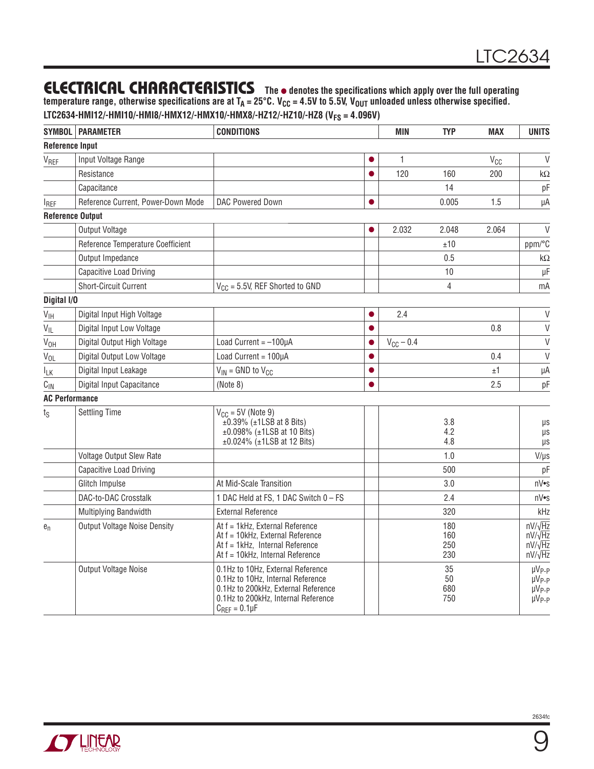temperature range, otherwise [specifications](https://www.application-datasheet.com/) are at T<sub>A</sub> = 25°C. V<sub>CC</sub> = 4.5V to 5.5V, V<sub>OUT</sub> unloaded unless otherwise specified. **LTC2634-HMI12/-HMI10/-HMI8/-HMX12/-HMX10/-HMX8/-HZ12/-HZ10/-HZ8 (VFS = 4.096V)**

|                         | SYMBOL   PARAMETER                  | <b>CONDITIONS</b>                                                                                                                                                             |           | <b>MIN</b>     | <b>TYP</b>               | <b>MAX</b>            | <b>UNITS</b>                                                             |
|-------------------------|-------------------------------------|-------------------------------------------------------------------------------------------------------------------------------------------------------------------------------|-----------|----------------|--------------------------|-----------------------|--------------------------------------------------------------------------|
| <b>Reference Input</b>  |                                     |                                                                                                                                                                               |           |                |                          |                       |                                                                          |
| VREF                    | Input Voltage Range                 |                                                                                                                                                                               | ●         | 1              |                          | <b>V<sub>CC</sub></b> | $\vee$                                                                   |
|                         | Resistance                          |                                                                                                                                                                               | $\bullet$ | 120            | 160                      | 200                   | kΩ                                                                       |
|                         | Capacitance                         |                                                                                                                                                                               |           |                | 14                       |                       | pF                                                                       |
| <b>IREF</b>             | Reference Current, Power-Down Mode  | DAC Powered Down                                                                                                                                                              | $\bullet$ |                | 0.005                    | 1.5                   | μA                                                                       |
| <b>Reference Output</b> |                                     |                                                                                                                                                                               |           |                |                          |                       |                                                                          |
|                         | Output Voltage                      |                                                                                                                                                                               | 0         | 2.032          | 2.048                    | 2.064                 | $\vee$                                                                   |
|                         | Reference Temperature Coefficient   |                                                                                                                                                                               |           |                | ±10                      |                       | ppm/°C                                                                   |
|                         | Output Impedance                    |                                                                                                                                                                               |           |                | 0.5                      |                       | $k\Omega$                                                                |
|                         | <b>Capacitive Load Driving</b>      |                                                                                                                                                                               |           |                | 10                       |                       | $\mu$ F                                                                  |
|                         | Short-Circuit Current               | $V_{CC}$ = 5.5V, REF Shorted to GND                                                                                                                                           |           |                | 4                        |                       | mA                                                                       |
| Digital I/O             |                                     |                                                                                                                                                                               |           |                |                          |                       |                                                                          |
| $V_{\text{IH}}$         | Digital Input High Voltage          |                                                                                                                                                                               | $\bullet$ | 2.4            |                          |                       | $\vee$                                                                   |
| $V_{IL}$                | Digital Input Low Voltage           |                                                                                                                                                                               | $\bullet$ |                |                          | 0.8                   | $\vee$                                                                   |
| V <sub>OH</sub>         | Digital Output High Voltage         | Load Current = $-100\mu A$                                                                                                                                                    | $\bullet$ | $V_{CC}$ - 0.4 |                          |                       | $\mathsf{V}$                                                             |
| $V_{OL}$                | Digital Output Low Voltage          | Load Current = 100µA                                                                                                                                                          | $\bullet$ |                |                          | 0.4                   | $\mathsf{V}$                                                             |
| $I_{LK}$                | Digital Input Leakage               | $V_{IN}$ = GND to $V_{CG}$                                                                                                                                                    | $\bullet$ |                |                          | ±1                    | μA                                                                       |
| $C_{\text{IN}}$         | Digital Input Capacitance           | (Note 8)                                                                                                                                                                      | $\bullet$ |                |                          | 2.5                   | pF                                                                       |
| <b>AC Performance</b>   |                                     |                                                                                                                                                                               |           |                |                          |                       |                                                                          |
| $t_{\rm S}$             | <b>Settling Time</b>                | $V_{CC}$ = 5V (Note 9)<br>$\text{H}0.39\%$ ( $\text{H}1LSB$ at 8 Bits)<br>$±0.098\%$ ( $±1LSB$ at 10 Bits)<br>$±0.024\%$ ( $±1LSB$ at 12 Bits)                                |           |                | 3.8<br>4.2<br>4.8        |                       | μs<br>μs<br>μs                                                           |
|                         | Voltage Output Slew Rate            |                                                                                                                                                                               |           |                | 1.0                      |                       | $V/\mu s$                                                                |
|                         | Capacitive Load Driving             |                                                                                                                                                                               |           |                | 500                      |                       | pF                                                                       |
|                         | Glitch Impulse                      | At Mid-Scale Transition                                                                                                                                                       |           |                | 3.0                      |                       | nV•s                                                                     |
|                         | DAC-to-DAC Crosstalk                | 1 DAC Held at FS, 1 DAC Switch 0 - FS                                                                                                                                         |           |                | 2.4                      |                       | nV•s                                                                     |
|                         | Multiplying Bandwidth               | <b>External Reference</b>                                                                                                                                                     |           |                | 320                      |                       | kHz                                                                      |
| $e_n$                   | <b>Output Voltage Noise Density</b> | At f = 1kHz, External Reference<br>At f = 10kHz, External Reference<br>At f = 1kHz, Internal Reference<br>At f = 10kHz, Internal Reference                                    |           |                | 180<br>160<br>250<br>230 |                       | $nV/\sqrt{Hz}$<br>$nV/\sqrt{Hz}$<br>$nV/\sqrt{Hz}$<br>$nV/\sqrt{Hz}$     |
|                         | Output Voltage Noise                | 0.1Hz to 10Hz, External Reference<br>0.1Hz to 10Hz, Internal Reference<br>0.1Hz to 200kHz, External Reference<br>0.1Hz to 200kHz, Internal Reference<br>$C_{REF} = 0.1 \mu F$ |           |                | 35<br>50<br>680<br>750   |                       | µV <sub>P-P</sub><br>µV <sub>P-P</sub><br>$\mu V_{P-P}$<br>$\mu V_{P-P}$ |

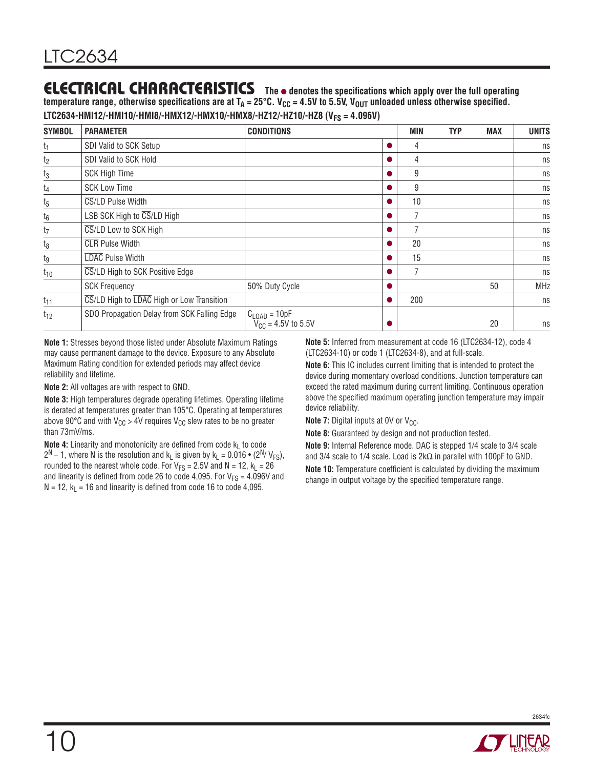temperature range, otherwise [specifications](https://www.application-datasheet.com/) are at  $T_A = 25^{\circ}C$ . V<sub>CC</sub> = 4.5V to 5.5V, V<sub>OUT</sub> unloaded unless otherwise specified. LTC2634-HMI12/-HMI10/-HMI8/-HMX12/-HMX10/-HMX8/-HZ12/-HZ10/-HZ8 (V<sub>FS</sub> = 4.096V)

| <b>SYMBOL</b>  | <b>PARAMETER</b>                            | <b>CONDITIONS</b>                                          | MIN | <b>TYP</b> | <b>MAX</b> | <b>UNITS</b> |
|----------------|---------------------------------------------|------------------------------------------------------------|-----|------------|------------|--------------|
| t <sub>1</sub> | SDI Valid to SCK Setup                      |                                                            | 4   |            |            | ns           |
| t <sub>2</sub> | SDI Valid to SCK Hold                       |                                                            | 4   |            |            | ns           |
| $t_3$          | <b>SCK High Time</b>                        |                                                            | 9   |            |            | ns           |
| $t_4$          | <b>SCK Low Time</b>                         |                                                            | 9   |            |            | ns           |
| $t_5$          | CS/LD Pulse Width                           |                                                            | 10  |            |            | ns           |
| $t_6$          | LSB SCK High to CS/LD High                  |                                                            | 7   |            |            | ns           |
| $t_7$          | CS/LD Low to SCK High                       |                                                            |     |            |            | ns           |
| $t_8$          | <b>CLR</b> Pulse Width                      |                                                            | 20  |            |            | ns           |
| tg             | LDAC Pulse Width                            |                                                            | 15  |            |            | ns           |
| $t_{10}$       | CS/LD High to SCK Positive Edge             |                                                            |     |            |            | ns           |
|                | <b>SCK Frequency</b>                        | 50% Duty Cycle                                             |     |            | 50         | <b>MHz</b>   |
| $t_{11}$       | CS/LD High to LDAC High or Low Transition   |                                                            | 200 |            |            | ns           |
| $t_{12}$       | SDO Propagation Delay from SCK Falling Edge | $C_{\text{LOAD}} = 10pF$<br>$V_{\text{CC}} = 4.5V$ to 5.5V |     |            | 20         | ns           |

**Note 1:** Stresses beyond those listed under Absolute Maximum Ratings may cause permanent damage to the device. Exposure to any Absolute Maximum Rating condition for extended periods may affect device reliability and lifetime.

**Note 2:** All voltages are with respect to GND.

**Note 3:** High temperatures degrade operating lifetimes. Operating lifetime is derated at temperatures greater than 105°C. Operating at temperatures above 90°C and with  $V_{CC}$  > 4V requires  $V_{CC}$  slew rates to be no greater than 73mV/ms.

**Note 4:** Linearity and monotonicity are defined from code  $k<sub>L</sub>$  to code  $2^N - 1$ , where N is the resolution and k<sub>L</sub> is given by k<sub>L</sub> = 0.016 • ( $2^N / V_{FS}$ ), rounded to the nearest whole code. For  $V_{FS} = 2.5V$  and  $N = 12$ ,  $k_L = 26$ and linearity is defined from code 26 to code 4,095. For  $V_{FS}$  = 4.096V and  $N = 12$ ,  $k_l = 16$  and linearity is defined from code 16 to code 4,095.

**Note 5:** Inferred from measurement at code 16 (LTC2634-12), code 4 (LTC2634-10) or code 1 (LTC2634-8), and at full-scale.

**Note 6:** This IC includes current limiting that is intended to protect the device during momentary overload conditions. Junction temperature can exceed the rated maximum during current limiting. Continuous operation above the specified maximum operating junction temperature may impair device reliability.

**Note 7:** Digital inputs at 0V or  $V_{CC}$ .

**Note 8:** Guaranteed by design and not production tested.

**Note 9:** Internal Reference mode. DAC is stepped 1/4 scale to 3/4 scale and 3/4 scale to 1/4 scale. Load is  $2k\Omega$  in parallel with 100pF to GND.

**Note 10:** Temperature coefficient is calculated by dividing the maximum change in output voltage by the specified temperature range.

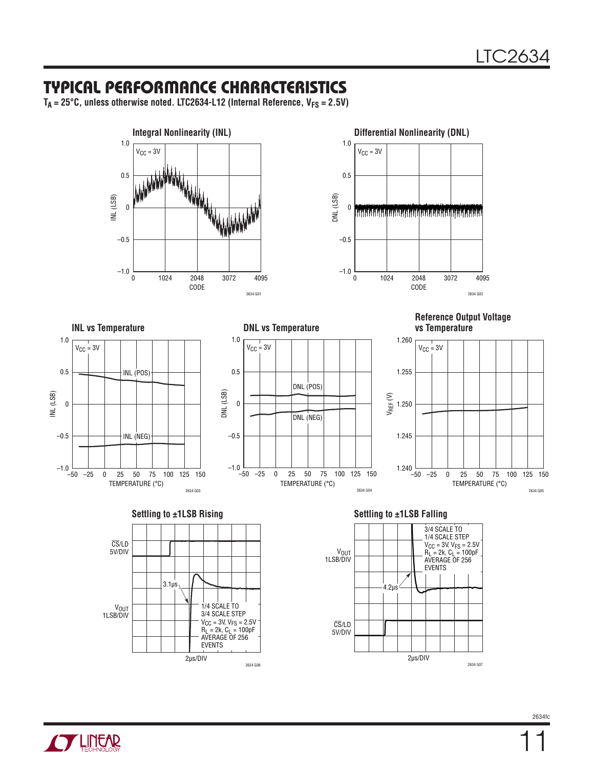#### Typical Performance Characteristics

 $T_A = 25^{\circ}$ C, unless otherwise noted. LTC2634-L12 (Internal Reference,  $V_{FS} = 2.5V$ )











**Reference Output Voltage vs Temperature**









**THITEAR**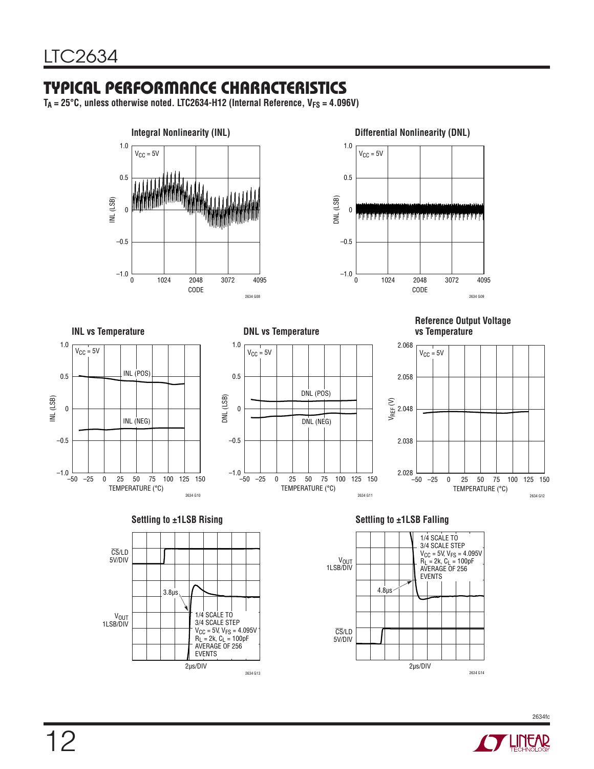# Typical Performance Characteristics

 $T_A = 25^{\circ}$ C, unless otherwise noted. LTC2634-H12 (Internal Reference,  $V_{FS} = 4.096V$ )









1.0  $V_{CC} = 5V$ 



**Reference Output Voltage vs Temperature**









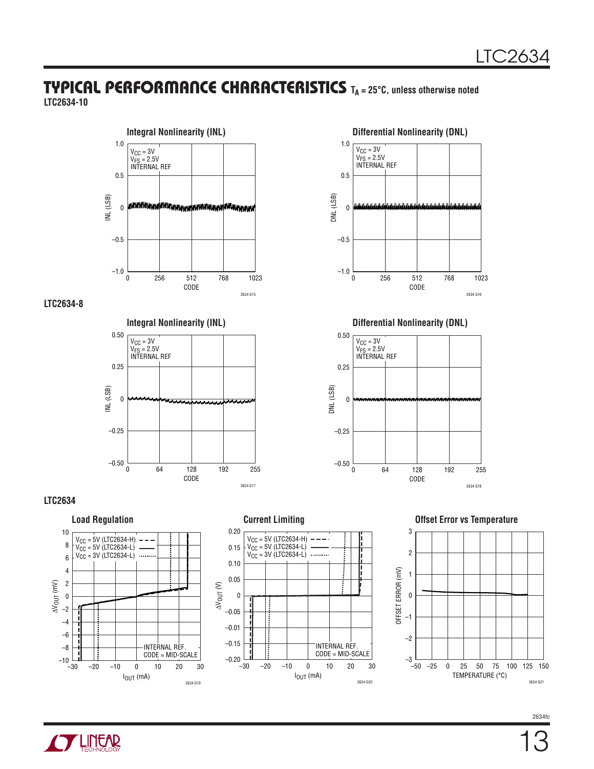#### **TYPICAL PERFORMANCE CHARACTERISTICS** T<sub>A</sub> = 25°C, unless otherwise noted **LTC2634-10**



#### **LTC2634-8**











#### **Offset Error vs Temperature**





2634fc

CODE  $\overline{0}$ DNL (LSB) 1.0 0.5 0  $-0.5$ –1.0 256 768 2634 G16 1023  $V_{CC} = 3V$ V<sub>FS</sub> = 2.5V<br>INTERNAL REF



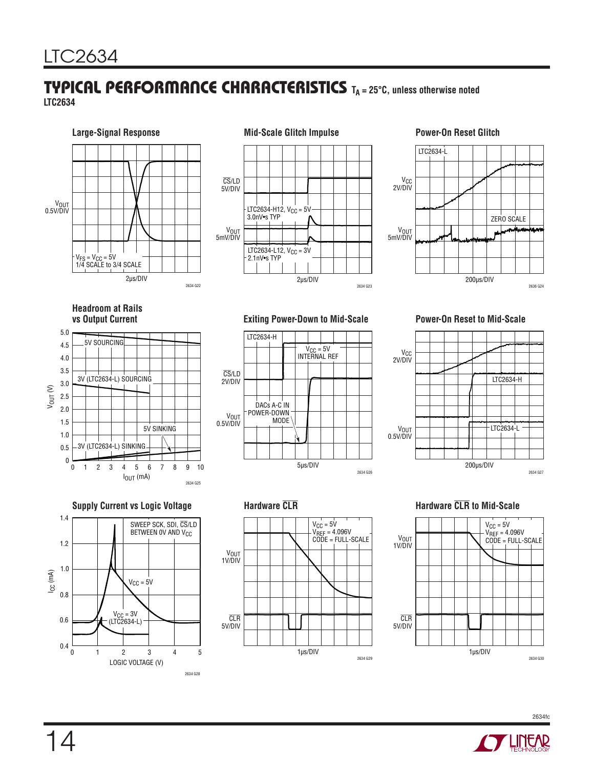#### **TYPICAL PERFORMANCE CHARACTERISTICS** T<sub>A</sub> = 25°C, unless otherwise noted **LTC2634**







# **Headroom at Rails**







#### **Exiting Power-Down to Mid-Scale <b>Power-On Reset to Mid-Scale**











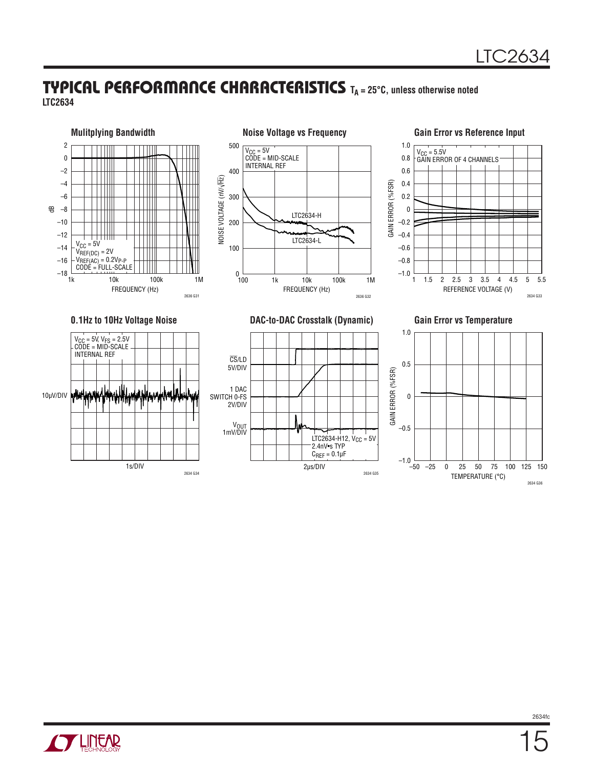#### **TYPICAL PERFORMANCE CHARACTERISTICS** TA = 25°C, unless otherwise noted **LTC2634**





15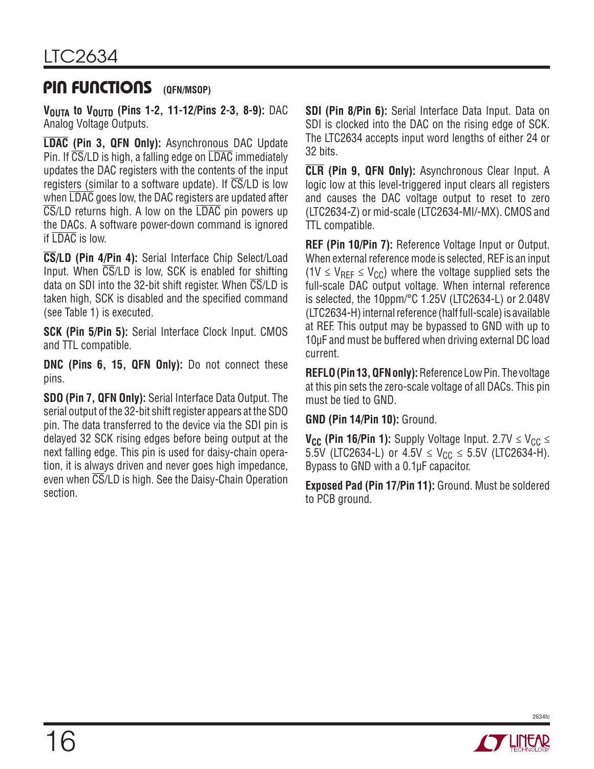#### PIN FUNCTIONS (QFN/MSOP)

**VOUTA to VOUTD (Pins 1-2, 11-12/Pins 2-3, 8-9): DAC** Analog Voltage Outputs.

**LDAC (Pin 3, QFN Only):** Asynchronous DAC Update Pin. If CS/LD is high, a falling edge on LDAC immediately updates the DAC registers with the contents of the input registers (similar to a software update). If  $\overline{\text{CS}}$ /LD is low when  $\overline{\text{LDAC}}$  goes low, the DAC registers are updated after  $\overline{\text{CS}}$ /LD returns high. A low on the  $\overline{\text{LDAC}}$  pin powers up the DACs. A software power-down command is ignored if LDAC is low.

**CS/LD (Pin 4/Pin 4):** Serial Interface Chip Select/Load Input. When CS/LD is low, SCK is enabled for shifting data on SDI into the 32-bit shift register. When  $\overline{\text{CS}}$ /LD is taken high, SCK is disabled and the specified command (see Table 1) is executed.

**SCK (Pin 5/Pin 5):** Serial Interface Clock Input. CMOS and TTL compatible.

**DNC (Pins 6, 15, QFN Only):** Do not connect these pins.

**SDO (Pin 7, QFN Only):** Serial Interface Data Output. The serial output of the 32-bit shift register appears at the SDO pin. The data transferred to the device via the SDI pin is delayed 32 SCK rising edges before being output at the next falling edge. This pin is used for daisy-chain operation, it is always driven and never goes high impedance, even when CS/LD is high. See the Daisy-Chain Operation section.

**SDI (Pin 8/Pin 6):** Serial Interface Data Input. Data on SDI is clocked into the DAC on the rising edge of SCK. The LTC2634 accepts input word lengths of either 24 or 32 bits.

**CLR (Pin 9, QFN Only):** Asynchronous Clear Input. A logic low at this level-triggered input clears all registers and causes the DAC voltage output to reset to zero (LTC2634-Z) or mid-scale (LTC2634-MI/-MX). CMOS and TTL compatible.

**REF (Pin 10/Pin 7):** Reference Voltage Input or Output. When external reference mode is selected, REF is an input (1V  $\leq$  V<sub>RFF</sub>  $\leq$  V<sub>CC</sub>) where the voltage supplied sets the full-scale DAC output voltage. When internal reference is selected, the 10ppm/°C 1.25V (LTC2634-L) or 2.048V (LTC2634-H) internal reference (half full-scale) is available at REF. This output may be bypassed to GND with up to 10µF and must be buffered when driving external DC load current.

**REFLO (Pin 13, QFN only):** Reference Low Pin. The voltage at this pin sets the zero-scale voltage of all DACs. This pin must be tied to GND.

**GND (Pin 14/Pin 10):** Ground.

**V<sub>CC</sub>** (Pin 16/Pin 1): Supply Voltage Input. 2.7V  $\leq$  V<sub>CC</sub>  $\leq$ 5.5V (LTC2634-L) or  $4.5V \le V_{CC} \le 5.5V$  (LTC2634-H). Bypass to GND with a 0.1µF capacitor.

**Exposed Pad (Pin 17/Pin 11):** Ground. Must be soldered to PCB ground.

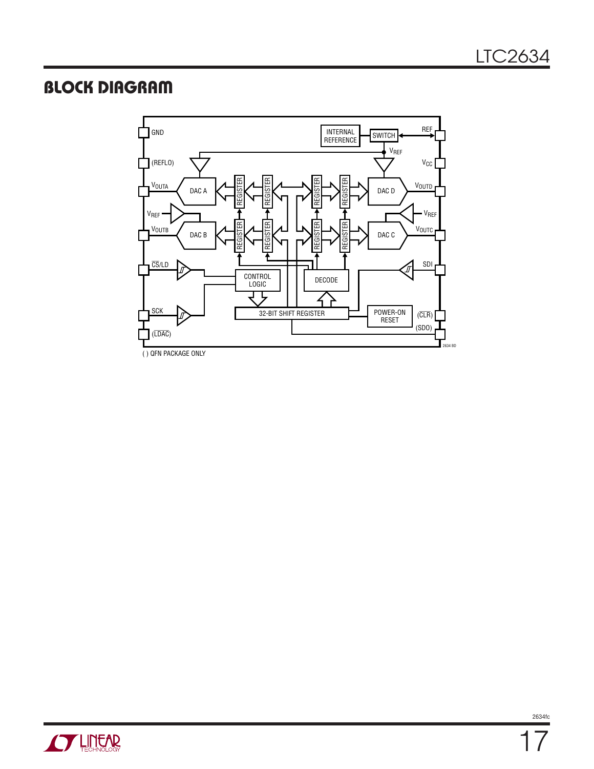#### Block Diagram



( ) QFN PACKAGE ONLY

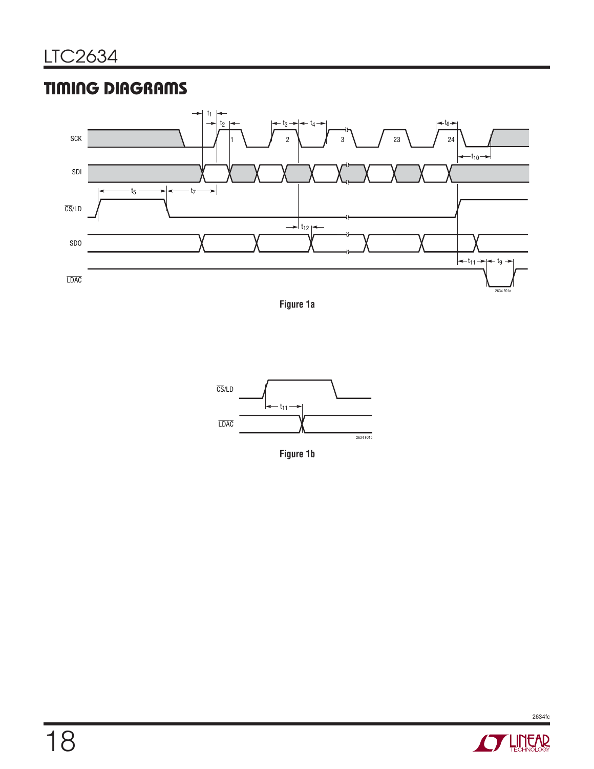## Timing Diagrams



**Figure 1a**



**Figure 1b**

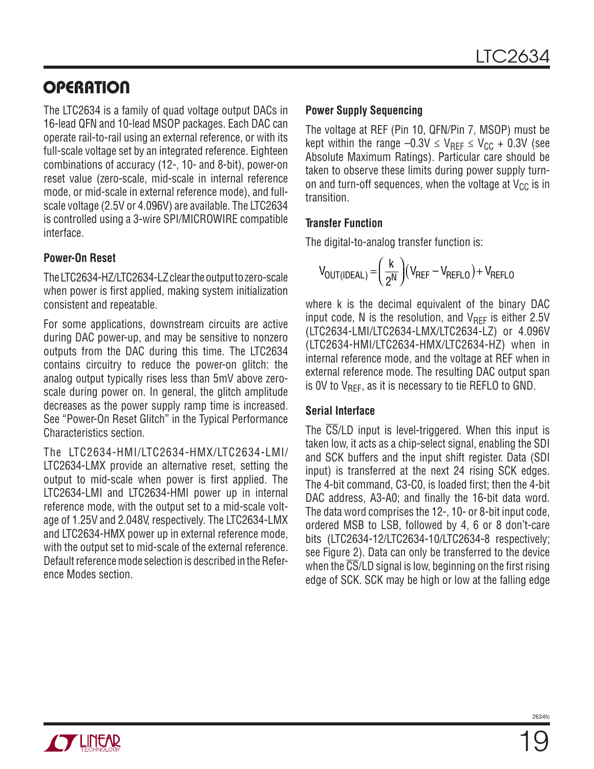The LTC2634 is a family of quad voltage output DACs in 16-lead QFN and 10-lead MSOP packages. Each DAC can operate rail-to-rail using an external reference, or with its full-scale voltage set by an integrated reference. Eighteen combinations of accuracy (12-, 10- and 8-bit), power-on reset value (zero-scale, mid-scale in internal reference mode, or mid-scale in external reference mode), and fullscale voltage (2.5V or 4.096V) are available. The LTC2634 is controlled using a 3-wire SPI/MICROWIRE compatible interface.

#### **Power-On Reset**

The LTC2634-HZ/LTC2634-LZ clear the output to zero-scale when power is first applied, making system initialization consistent and repeatable.

For some applications, downstream circuits are active during DAC power-up, and may be sensitive to nonzero outputs from the DAC during this time. The LTC2634 contains circuitry to reduce the power-on glitch: the analog output typically rises less than 5mV above zeroscale during power on. In general, the glitch amplitude decreases as the power supply ramp time is increased. See "Power-On Reset Glitch" in the Typical Performance Characteristics section.

The LTC2634-HMI/LTC2634-HMX/LTC2634-LMI/ LTC2634-LMX provide an alternative reset, setting the output to mid-scale when power is first applied. The LTC2634-LMI and LTC2634-HMI power up in internal reference mode, with the output set to a mid-scale voltage of 1.25V and 2.048V, respectively. The LTC2634-LMX and LTC2634-HMX power up in external reference mode, with the output set to mid-scale of the external reference. Default reference mode selection is described in the Reference Modes section.

#### **Power Supply Sequencing**

The voltage at REF (Pin 10, QFN/Pin 7, MSOP) must be kept within the range –0.3V  $\leq$  V<sub>RFF</sub>  $\leq$  V<sub>CC</sub> + 0.3V (see Absolute Maximum Ratings). Particular care should be taken to observe these limits during power supply turnon and turn-off sequences, when the voltage at  $V_{CC}$  is in transition.

#### **Transfer Function**

The digital-to-analog transfer function is:

$$
V_{OUT(IDEAL)} = \left(\frac{k}{2^N}\right) (V_{REF} - V_{REFLO}) + V_{REFLO}
$$

where k is the decimal equivalent of the binary DAC input code, N is the resolution, and  $V_{\text{RFF}}$  is either 2.5V (LTC2634-LMI/LTC2634-LMX/LTC2634-LZ) or 4.096V (LTC2634-HMI/LTC2634-HMX/LTC2634-HZ) when in internal reference mode, and the voltage at REF when in external reference mode. The resulting DAC output span is OV to  $V_{\text{RFF}}$ , as it is necessary to tie REFLO to GND.

#### **Serial Interface**

The  $\overline{\text{CS}}$ /LD input is level-triggered. When this input is taken low, it acts as a chip-select signal, enabling the SDI and SCK buffers and the input shift register. Data (SDI input) is transferred at the next 24 rising SCK edges. The 4-bit command, C3-C0, is loaded first; then the 4-bit DAC address, A3-A0; and finally the 16-bit data word. The data word comprises the 12-, 10- or 8-bit input code, ordered MSB to LSB, followed by 4, 6 or 8 don't-care bits (LTC2634-12/LTC2634-10/LTC2634-8 respectively; see Figure 2). Data can only be transferred to the device when the  $\overline{\text{CS}}$ /LD signal is low, beginning on the first rising edge of SCK. SCK may be high or low at the falling edge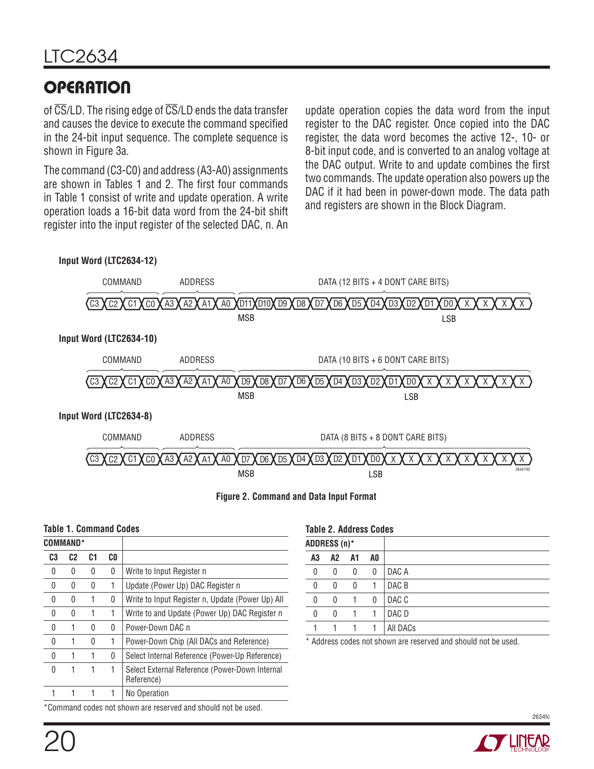of  $\overline{\text{CS}}$ /LD. The rising edge of  $\overline{\text{CS}}$ /LD ends the data transfer and causes the device to execute the command specified in the 24-bit input sequence. The complete sequence is shown in Figure 3a.

The command (C3-C0) and address (A3-A0) assignments are shown in Tables 1 and 2. The first four commands in Table 1 consist of write and update operation. A write operation loads a 16-bit data word from the 24-bit shift register into the input register of the selected DAC, n. An

update operation copies the data word from the input register to the DAC register. Once copied into the DAC register, the data word becomes the active 12-, 10- or 8-bit input code, and is converted to an analog voltage at the DAC output. Write to and update combines the first two commands. The update operation also powers up the DAC if it had been in power-down mode. The data path and registers are shown in the Block Diagram.



| <b>Table 1. Command Codes</b> |  |
|-------------------------------|--|
|-------------------------------|--|

| <b>COMMAND*</b>                                               |                |    |     |                                                              |
|---------------------------------------------------------------|----------------|----|-----|--------------------------------------------------------------|
| C3                                                            | C <sub>2</sub> | C1 | CO. |                                                              |
| 0                                                             | 0              | 0  | 0   | Write to Input Register n                                    |
| 0                                                             | 0              | 0  | 1   | Update (Power Up) DAC Register n                             |
| 0                                                             | 0              | 1  | 0   | Write to Input Register n, Update (Power Up) All             |
| 0                                                             | 0              | 1  | 1   | Write to and Update (Power Up) DAC Register n                |
| 0                                                             |                | 0  | 0   | Power-Down DAC n                                             |
| 0                                                             |                | 0  | 1   | Power-Down Chip (All DACs and Reference)                     |
| 0                                                             |                |    | 0   | Select Internal Reference (Power-Up Reference)               |
| 0                                                             |                |    | 1   | Select External Reference (Power-Down Internal<br>Reference) |
|                                                               |                |    | 1   | No Operation                                                 |
| *Command codes not shown are reserved and should not be used. |                |    |     |                                                              |

| <b>Table 2. Address Codes</b>                               |    |    |    |          |  |
|-------------------------------------------------------------|----|----|----|----------|--|
| ADDRESS (n)*                                                |    |    |    |          |  |
| A3                                                          | A2 | A1 | A0 |          |  |
| 0                                                           | 0  | 0  | 0  | DAC A    |  |
| 0                                                           | 0  | 0  |    | DAC B    |  |
| 0                                                           | 0  | 1  | 0  | DAC C    |  |
| 0                                                           | 0  |    |    | DAC D    |  |
|                                                             |    |    |    | All DACs |  |
| Address codes not shown are reserved and should not be used |    |    |    |          |  |

\* Address codes not shown are reserved and should not be used.



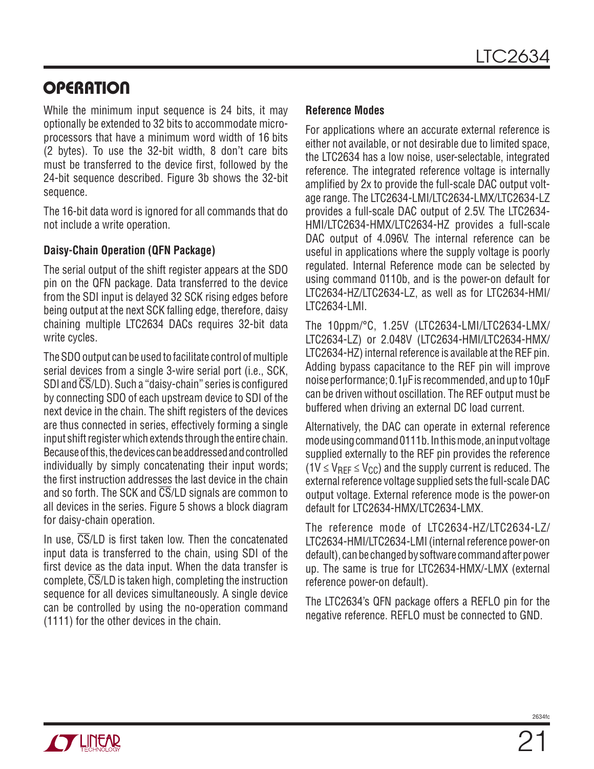While the minimum input sequence is 24 bits, it may optionally be extended to 32 bits to accommodate microprocessors that have a minimum word width of 16 bits (2 bytes). To use the 32-bit width, 8 don't care bits must be transferred to the device first, followed by the 24-bit sequence described. Figure 3b shows the 32-bit sequence.

The 16-bit data word is ignored for all commands that do not include a write operation.

#### **Daisy-Chain Operation (QFN Package)**

The serial output of the shift register appears at the SDO pin on the QFN package. Data transferred to the device from the SDI input is delayed 32 SCK rising edges before being output at the next SCK falling edge, therefore, daisy chaining multiple LTC2634 DACs requires 32-bit data write cycles.

The SDO output can be used to facilitate control of multiple serial devices from a single 3-wire serial port (i.e., SCK, SDI and CS/LD). Such a "daisy-chain" series is configured by connecting SDO of each upstream device to SDI of the next device in the chain. The shift registers of the devices are thus connected in series, effectively forming a single input shift register which extends through the entire chain. Because of this, the devices can be addressed and controlled individually by simply concatenating their input words; the first instruction addresses the last device in the chain and so forth. The SCK and CS/LD signals are common to all devices in the series. Figure 5 shows a block diagram for daisy-chain operation.

In use,  $\overline{\text{CS}}$ /LD is first taken low. Then the concatenated input data is transferred to the chain, using SDI of the first device as the data input. When the data transfer is complete, CS/LD is taken high, completing the instruction sequence for all devices simultaneously. A single device can be controlled by using the no-operation command (1111) for the other devices in the chain.

#### **Reference Modes**

For applications where an accurate external reference is either not available, or not desirable due to limited space, the LTC2634 has a low noise, user-selectable, integrated reference. The integrated reference voltage is internally amplified by 2x to provide the full-scale DAC output voltage range. The LTC2634-LMI/LTC2634-LMX/LTC2634-LZ provides a full-scale DAC output of 2.5V. The LTC2634- HMI/LTC2634-HMX/LTC2634-HZ provides a full-scale DAC output of 4.096V. The internal reference can be useful in applications where the supply voltage is poorly regulated. Internal Reference mode can be selected by using command 0110b, and is the power-on default for LTC2634-HZ/LTC2634-LZ, as well as for LTC2634-HMI/ LTC2634-LMI.

The 10ppm/°C, 1.25V (LTC2634-LMI/LTC2634-LMX/ LTC2634-LZ) or 2.048V (LTC2634-HMI/LTC2634-HMX/ LTC2634-HZ) internal reference is available at the REF pin. Adding bypass capacitance to the REF pin will improve noise performance; 0.1µF is recommended, and up to 10µF can be driven without oscillation. The REF output must be buffered when driving an external DC load current.

Alternatively, the DAC can operate in external reference mode using command 0111b. In this mode, an input voltage supplied externally to the REF pin provides the reference  $(1V \leq V_{\text{REF}} \leq V_{\text{CC}})$  and the supply current is reduced. The external reference voltage supplied sets the full-scale DAC output voltage. External reference mode is the power-on default for LTC2634-HMX/LTC2634-LMX.

The reference mode of LTC2634-HZ/LTC2634-LZ/ LTC2634-HMI/LTC2634-LMI (internal reference power-on default), can be changed by software command after power up. The same is true for LTC2634-HMX/-LMX (external reference power-on default).

The LTC2634's QFN package offers a REFLO pin for the negative reference. REFLO must be connected to GND.

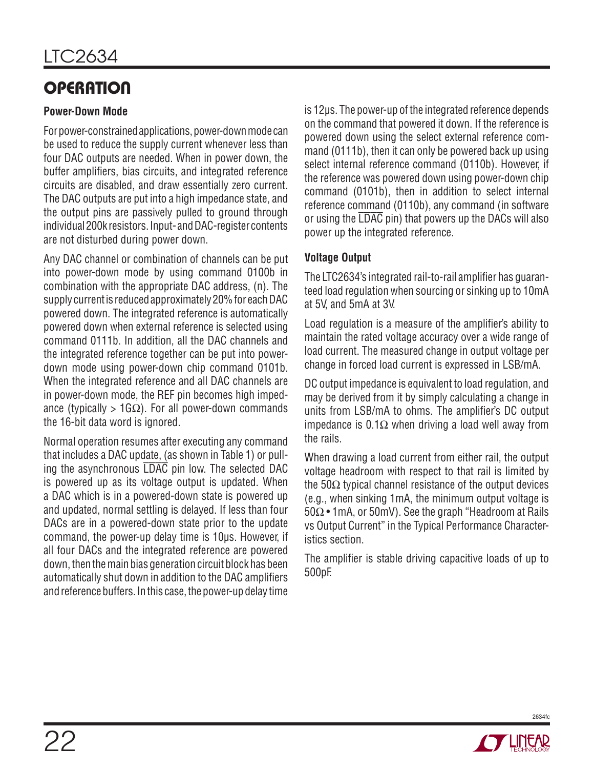#### **Power-Down Mode**

For power-constrained applications, power-down mode can be used to reduce the supply current whenever less than four DAC outputs are needed. When in power down, the buffer amplifiers, bias circuits, and integrated reference circuits are disabled, and draw essentially zero current. The DAC outputs are put into a high impedance state, and the output pins are passively pulled to ground through individual 200k resistors. Input- and DAC-register contents are not disturbed during power down.

Any DAC channel or combination of channels can be put into power-down mode by using command 0100b in combination with the appropriate DAC address, (n). The supply current is reduced approximately 20% for each DAC powered down. The integrated reference is automatically powered down when external reference is selected using command 0111b. In addition, all the DAC channels and the integrated reference together can be put into powerdown mode using power-down chip command 0101b. When the integrated reference and all DAC channels are in power-down mode, the REF pin becomes high impedance (typically > 1G $\Omega$ ). For all power-down commands the 16-bit data word is ignored.

Normal operation resumes after executing any command that includes a DAC update, (as shown in Table 1) or pulling the asynchronous LDAC pin low. The selected DAC is powered up as its voltage output is updated. When a DAC which is in a powered-down state is powered up and updated, normal settling is delayed. If less than four DACs are in a powered-down state prior to the update command, the power-up delay time is 10µs. However, if all four DACs and the integrated reference are powered down, then the main bias generation circuit block has been automatically shut down in addition to the DAC amplifiers and reference buffers. In this case, the power-up delay time is 12µs. The power-up of the integrated reference depends on the command that powered it down. If the reference is powered down using the select external reference command (0111b), then it can only be powered back up using select internal reference command (0110b). However, if the reference was powered down using power-down chip command (0101b), then in addition to select internal reference command (0110b), any command (in software or using the  $\overline{LDAC}$  pin) that powers up the DACs will also power up the integrated reference.

#### **Voltage Output**

The LTC2634's integrated rail-to-rail amplifier has guaranteed load regulation when sourcing or sinking up to 10mA at 5V, and 5mA at 3V.

Load regulation is a measure of the amplifier's ability to maintain the rated voltage accuracy over a wide range of load current. The measured change in output voltage per change in forced load current is expressed in LSB/mA.

DC output impedance is equivalent to load regulation, and may be derived from it by simply calculating a change in units from LSB/mA to ohms. The amplifier's DC output impedance is 0.1Ω when driving a load well away from the rails.

When drawing a load current from either rail, the output voltage headroom with respect to that rail is limited by the 50Ω typical channel resistance of the output devices (e.g., when sinking 1mA, the minimum output voltage is 50Ω • 1mA, or 50mV). See the graph "Headroom at Rails vs Output Current" in the Typical Performance Characteristics section.

The amplifier is stable driving capacitive loads of up to 500pF.

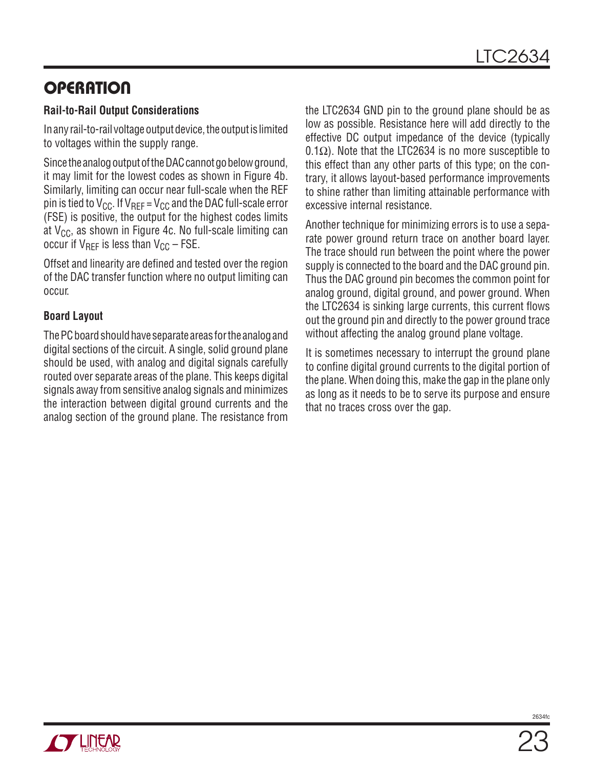#### **Rail-to-Rail Output Considerations**

In any rail-to-rail voltage output device, the output is limited to voltages within the supply range.

Since the analog output of the DAC cannot go below ground, it may limit for the lowest codes as shown in Figure 4b. Similarly, limiting can occur near full-scale when the REF pin is tied to  $V_{CC}$ . If  $V_{REF} = V_{CC}$  and the DAC full-scale error (FSE) is positive, the output for the highest codes limits at  $V_{CC}$ , as shown in Figure 4c. No full-scale limiting can occur if  $V_{RFF}$  is less than  $V_{CC}$  – FSE.

Offset and linearity are defined and tested over the region of the DAC transfer function where no output limiting can occur.

#### **Board Layout**

The PC board should have separate areas for the analog and digital sections of the circuit. A single, solid ground plane should be used, with analog and digital signals carefully routed over separate areas of the plane. This keeps digital signals away from sensitive analog signals and minimizes the interaction between digital ground currents and the analog section of the ground plane. The resistance from the LTC2634 GND pin to the ground plane should be as low as possible. Resistance here will add directly to the effective DC output impedance of the device (typically 0.1Ω). Note that the LTC2634 is no more susceptible to this effect than any other parts of this type; on the contrary, it allows layout-based performance improvements to shine rather than limiting attainable performance with excessive internal resistance.

Another technique for minimizing errors is to use a separate power ground return trace on another board layer. The trace should run between the point where the power supply is connected to the board and the DAC ground pin. Thus the DAC ground pin becomes the common point for analog ground, digital ground, and power ground. When the LTC2634 is sinking large currents, this current flows out the ground pin and directly to the power ground trace without affecting the analog ground plane voltage.

It is sometimes necessary to interrupt the ground plane to confine digital ground currents to the digital portion of the plane. When doing this, make the gap in the plane only as long as it needs to be to serve its purpose and ensure that no traces cross over the gap.

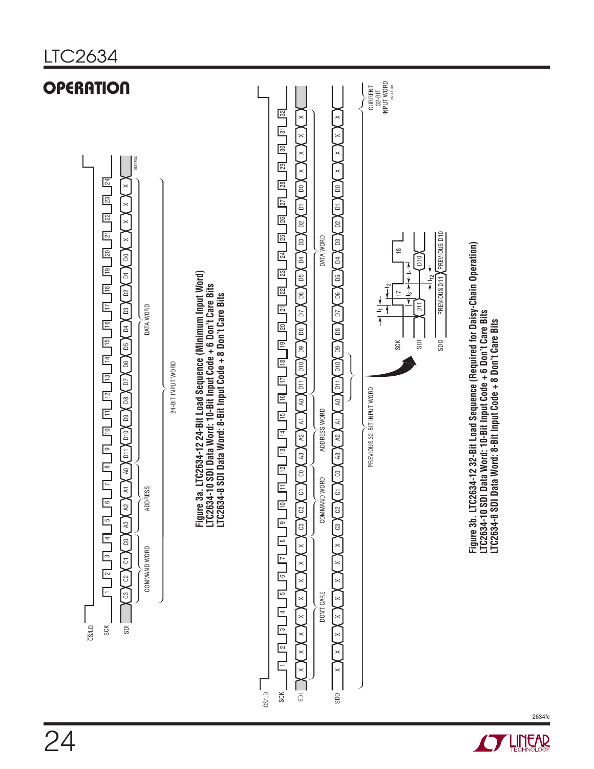

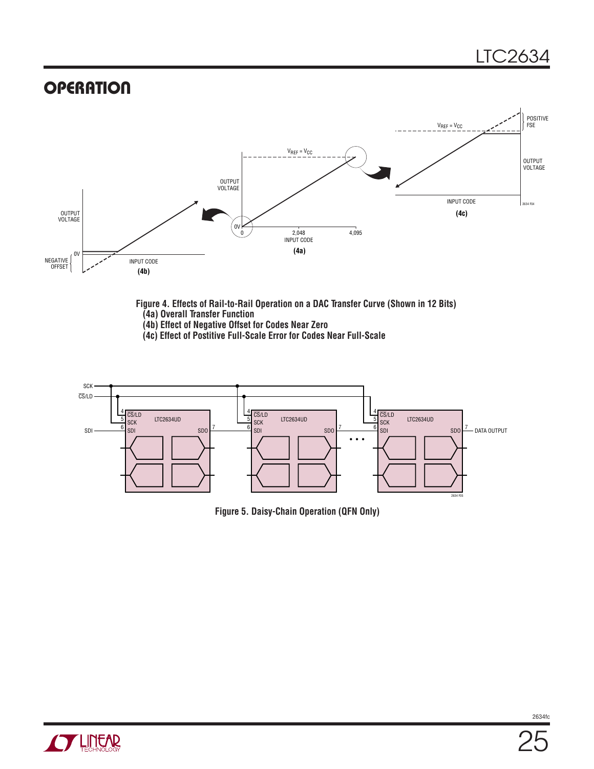

#### **Figure 4. Effects of Rail-to-Rail Operation on a DAC Transfer Curve (Shown in 12 Bits) (4a) Overall Transfer Function**

- **(4b) Effect of Negative Offset for Codes Near Zero**
- **(4c) Effect of Postitive Full-Scale Error for Codes Near Full-Scale**



**Figure 5. Daisy-Chain Operation (QFN Only)**

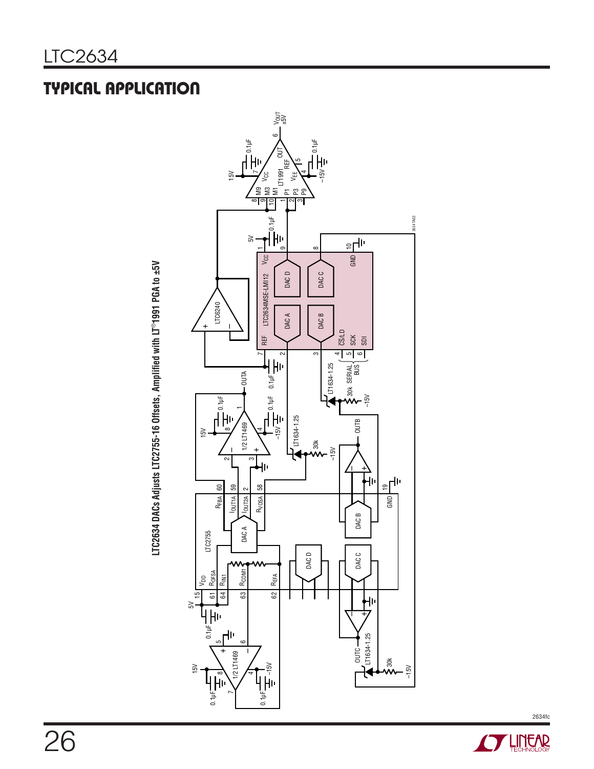## typical application



**STARTE AREA** 

2634fc

LTC2634 DACs Adjusts LTC2755-16 Offsets, Amplified with LT®1991 PGA to ±5V **LTC2634 DACs Adjusts LTC2755-16 Offsets, Amplified with LT**®**1991 PGA to ±5V**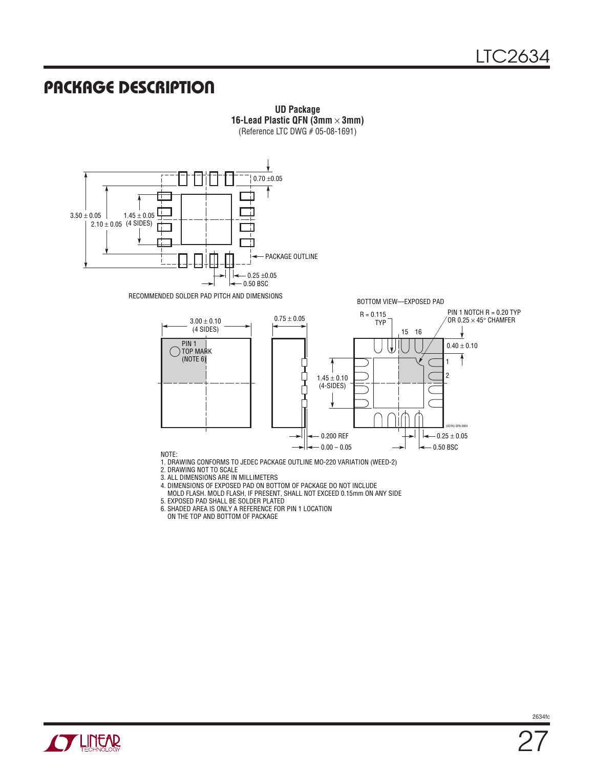#### Package Description



**UD Package 16-Lead Plastic QFN (3mm** × **3mm)** (Reference LTC DWG # 05-08-1691)

- 6. SHADED AREA IS ONLY A REFERENCE FOR PIN 1 LOCATION
- ON THE TOP AND BOTTOM OF PACKAGE

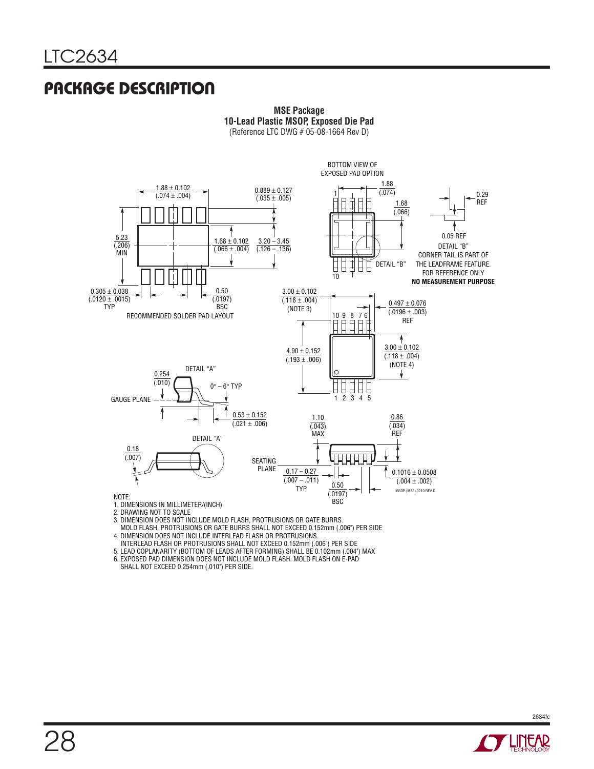### Package Description



**MSE Package 10-Lead Plastic MSOP, Exposed Die Pad** (Reference LTC DWG # 05-08-1664 Rev D)

3. DIMENSION DOES NOT INCLUDE MOLD FLASH, PROTRUSIONS OR GATE BURRS.

MOLD FLASH, PROTRUSIONS OR GATE BURRS SHALL NOT EXCEED 0.152mm (.006") PER SIDE

- 4. DIMENSION DOES NOT INCLUDE INTERLEAD FLASH OR PROTRUSIONS.
- INTERLEAD FLASH OR PROTRUSIONS SHALL NOT EXCEED 0.152mm (.006") PER SIDE

5. LEAD COPLANARITY (BOTTOM OF LEADS AFTER FORMING) SHALL BE 0.102mm (.004") MAX

- 6. EXPOSED PAD DIMENSION DOES NOT INCLUDE MOLD FLASH. MOLD FLASH ON E-PAD
- SHALL NOT EXCEED 0.254mm (.010") PER SIDE.

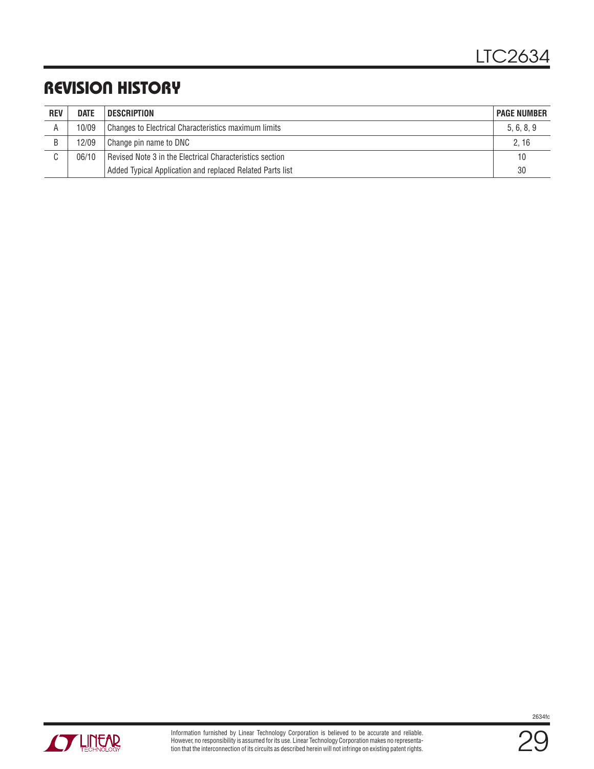## Revision History

| <b>REV</b> | <b>DATE</b> | <b>DESCRIPTION</b><br><b>PAGE NUMBER</b>                  |            |  |  |  |
|------------|-------------|-----------------------------------------------------------|------------|--|--|--|
| A          | 10/09       | Changes to Electrical Characteristics maximum limits      | 5, 6, 8, 9 |  |  |  |
| B          | 12/09       | Change pin name to DNC                                    | 2, 16      |  |  |  |
| ⌒          | 06/10       | Revised Note 3 in the Electrical Characteristics section  |            |  |  |  |
|            |             | Added Typical Application and replaced Related Parts list | 30         |  |  |  |





29